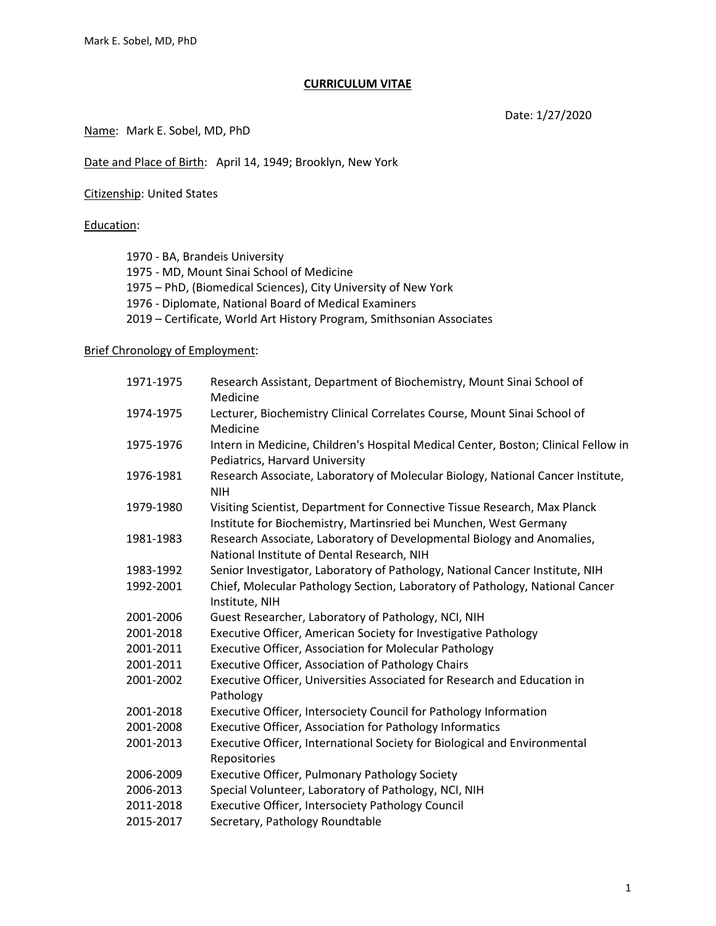#### **CURRICULUM VITAE**

Date: 1/27/2020

Name: Mark E. Sobel, MD, PhD

Date and Place of Birth: April 14, 1949; Brooklyn, New York

Citizenship: United States

#### Education:

1970 - BA, Brandeis University 1975 - MD, Mount Sinai School of Medicine 1975 – PhD, (Biomedical Sciences), City University of New York 1976 - Diplomate, National Board of Medical Examiners 2019 – Certificate, World Art History Program, Smithsonian Associates

## Brief Chronology of Employment:

| 1971-1975 | Research Assistant, Department of Biochemistry, Mount Sinai School of<br>Medicine                                                              |
|-----------|------------------------------------------------------------------------------------------------------------------------------------------------|
| 1974-1975 | Lecturer, Biochemistry Clinical Correlates Course, Mount Sinai School of<br>Medicine                                                           |
| 1975-1976 | Intern in Medicine, Children's Hospital Medical Center, Boston; Clinical Fellow in<br>Pediatrics, Harvard University                           |
| 1976-1981 | Research Associate, Laboratory of Molecular Biology, National Cancer Institute,<br><b>NIH</b>                                                  |
| 1979-1980 | Visiting Scientist, Department for Connective Tissue Research, Max Planck<br>Institute for Biochemistry, Martinsried bei Munchen, West Germany |
| 1981-1983 | Research Associate, Laboratory of Developmental Biology and Anomalies,<br>National Institute of Dental Research, NIH                           |
| 1983-1992 | Senior Investigator, Laboratory of Pathology, National Cancer Institute, NIH                                                                   |
| 1992-2001 | Chief, Molecular Pathology Section, Laboratory of Pathology, National Cancer<br>Institute, NIH                                                 |
| 2001-2006 | Guest Researcher, Laboratory of Pathology, NCI, NIH                                                                                            |
| 2001-2018 | Executive Officer, American Society for Investigative Pathology                                                                                |
| 2001-2011 | <b>Executive Officer, Association for Molecular Pathology</b>                                                                                  |
| 2001-2011 | <b>Executive Officer, Association of Pathology Chairs</b>                                                                                      |
| 2001-2002 | Executive Officer, Universities Associated for Research and Education in<br>Pathology                                                          |
| 2001-2018 | Executive Officer, Intersociety Council for Pathology Information                                                                              |
| 2001-2008 | Executive Officer, Association for Pathology Informatics                                                                                       |
| 2001-2013 | Executive Officer, International Society for Biological and Environmental<br>Repositories                                                      |
| 2006-2009 | Executive Officer, Pulmonary Pathology Society                                                                                                 |
| 2006-2013 | Special Volunteer, Laboratory of Pathology, NCI, NIH                                                                                           |
| 2011-2018 | Executive Officer, Intersociety Pathology Council                                                                                              |
| 2015-2017 | Secretary, Pathology Roundtable                                                                                                                |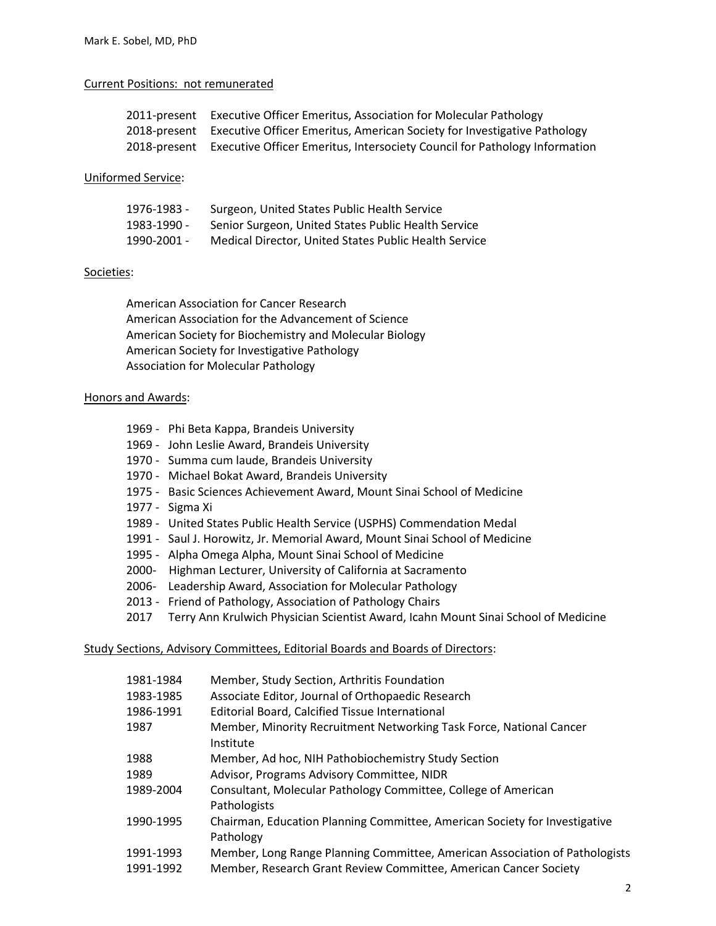#### Current Positions: not remunerated

| 2011-present Executive Officer Emeritus, Association for Molecular Pathology            |
|-----------------------------------------------------------------------------------------|
| 2018-present Executive Officer Emeritus, American Society for Investigative Pathology   |
| 2018-present Executive Officer Emeritus, Intersociety Council for Pathology Information |

#### Uniformed Service:

| 1976-1983 - | Surgeon, United States Public Health Service          |
|-------------|-------------------------------------------------------|
| 1983-1990 - | Senior Surgeon, United States Public Health Service   |
| 1990-2001 - | Medical Director, United States Public Health Service |

#### Societies:

American Association for Cancer Research American Association for the Advancement of Science American Society for Biochemistry and Molecular Biology American Society for Investigative Pathology Association for Molecular Pathology

#### Honors and Awards:

- 1969 Phi Beta Kappa, Brandeis University
- 1969 John Leslie Award, Brandeis University
- 1970 Summa cum laude, Brandeis University
- 1970 Michael Bokat Award, Brandeis University
- 1975 Basic Sciences Achievement Award, Mount Sinai School of Medicine
- 1977 Sigma Xi
- 1989 United States Public Health Service (USPHS) Commendation Medal
- 1991 Saul J. Horowitz, Jr. Memorial Award, Mount Sinai School of Medicine
- 1995 Alpha Omega Alpha, Mount Sinai School of Medicine
- 2000- Highman Lecturer, University of California at Sacramento
- 2006- Leadership Award, Association for Molecular Pathology
- 2013 Friend of Pathology, Association of Pathology Chairs
- 2017 Terry Ann Krulwich Physician Scientist Award, Icahn Mount Sinai School of Medicine

#### Study Sections, Advisory Committees, Editorial Boards and Boards of Directors:

| 1981-1984              | Member, Study Section, Arthritis Foundation                                                                                                     |
|------------------------|-------------------------------------------------------------------------------------------------------------------------------------------------|
| 1983-1985              | Associate Editor, Journal of Orthopaedic Research                                                                                               |
| 1986-1991              | <b>Editorial Board, Calcified Tissue International</b>                                                                                          |
| 1987                   | Member, Minority Recruitment Networking Task Force, National Cancer<br>Institute                                                                |
| 1988                   | Member, Ad hoc, NIH Pathobiochemistry Study Section                                                                                             |
| 1989                   | Advisor, Programs Advisory Committee, NIDR                                                                                                      |
| 1989-2004              | Consultant, Molecular Pathology Committee, College of American<br>Pathologists                                                                  |
| 1990-1995              | Chairman, Education Planning Committee, American Society for Investigative<br>Pathology                                                         |
| 1991-1993<br>1991-1992 | Member, Long Range Planning Committee, American Association of Pathologists<br>Member, Research Grant Review Committee, American Cancer Society |
|                        |                                                                                                                                                 |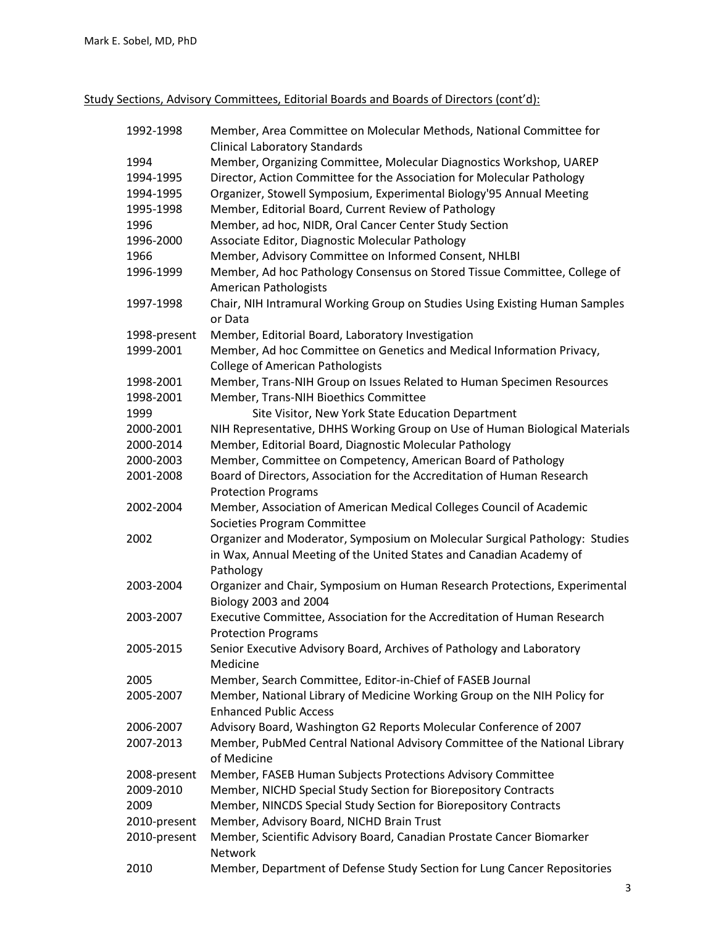Study Sections, Advisory Committees, Editorial Boards and Boards of Directors (cont'd):

| 1992-1998    | Member, Area Committee on Molecular Methods, National Committee for<br><b>Clinical Laboratory Standards</b> |
|--------------|-------------------------------------------------------------------------------------------------------------|
| 1994         | Member, Organizing Committee, Molecular Diagnostics Workshop, UAREP                                         |
| 1994-1995    | Director, Action Committee for the Association for Molecular Pathology                                      |
| 1994-1995    | Organizer, Stowell Symposium, Experimental Biology'95 Annual Meeting                                        |
| 1995-1998    | Member, Editorial Board, Current Review of Pathology                                                        |
| 1996         | Member, ad hoc, NIDR, Oral Cancer Center Study Section                                                      |
| 1996-2000    | Associate Editor, Diagnostic Molecular Pathology                                                            |
| 1966         | Member, Advisory Committee on Informed Consent, NHLBI                                                       |
| 1996-1999    | Member, Ad hoc Pathology Consensus on Stored Tissue Committee, College of                                   |
|              | <b>American Pathologists</b>                                                                                |
| 1997-1998    | Chair, NIH Intramural Working Group on Studies Using Existing Human Samples                                 |
|              | or Data                                                                                                     |
| 1998-present | Member, Editorial Board, Laboratory Investigation                                                           |
| 1999-2001    | Member, Ad hoc Committee on Genetics and Medical Information Privacy,                                       |
|              | <b>College of American Pathologists</b>                                                                     |
| 1998-2001    | Member, Trans-NIH Group on Issues Related to Human Specimen Resources                                       |
| 1998-2001    | Member, Trans-NIH Bioethics Committee                                                                       |
| 1999         | Site Visitor, New York State Education Department                                                           |
| 2000-2001    | NIH Representative, DHHS Working Group on Use of Human Biological Materials                                 |
| 2000-2014    | Member, Editorial Board, Diagnostic Molecular Pathology                                                     |
| 2000-2003    | Member, Committee on Competency, American Board of Pathology                                                |
| 2001-2008    | Board of Directors, Association for the Accreditation of Human Research                                     |
|              | <b>Protection Programs</b>                                                                                  |
| 2002-2004    | Member, Association of American Medical Colleges Council of Academic                                        |
|              | Societies Program Committee                                                                                 |
| 2002         | Organizer and Moderator, Symposium on Molecular Surgical Pathology: Studies                                 |
|              | in Wax, Annual Meeting of the United States and Canadian Academy of                                         |
|              | Pathology                                                                                                   |
| 2003-2004    | Organizer and Chair, Symposium on Human Research Protections, Experimental                                  |
|              | Biology 2003 and 2004                                                                                       |
| 2003-2007    | Executive Committee, Association for the Accreditation of Human Research                                    |
|              | <b>Protection Programs</b>                                                                                  |
| 2005-2015    | Senior Executive Advisory Board, Archives of Pathology and Laboratory                                       |
|              | Medicine                                                                                                    |
| 2005         | Member, Search Committee, Editor-in-Chief of FASEB Journal                                                  |
| 2005-2007    | Member, National Library of Medicine Working Group on the NIH Policy for                                    |
|              | <b>Enhanced Public Access</b>                                                                               |
| 2006-2007    | Advisory Board, Washington G2 Reports Molecular Conference of 2007                                          |
| 2007-2013    | Member, PubMed Central National Advisory Committee of the National Library<br>of Medicine                   |
| 2008-present | Member, FASEB Human Subjects Protections Advisory Committee                                                 |
| 2009-2010    | Member, NICHD Special Study Section for Biorepository Contracts                                             |
| 2009         | Member, NINCDS Special Study Section for Biorepository Contracts                                            |
| 2010-present | Member, Advisory Board, NICHD Brain Trust                                                                   |
| 2010-present | Member, Scientific Advisory Board, Canadian Prostate Cancer Biomarker<br><b>Network</b>                     |
| 2010         | Member, Department of Defense Study Section for Lung Cancer Repositories                                    |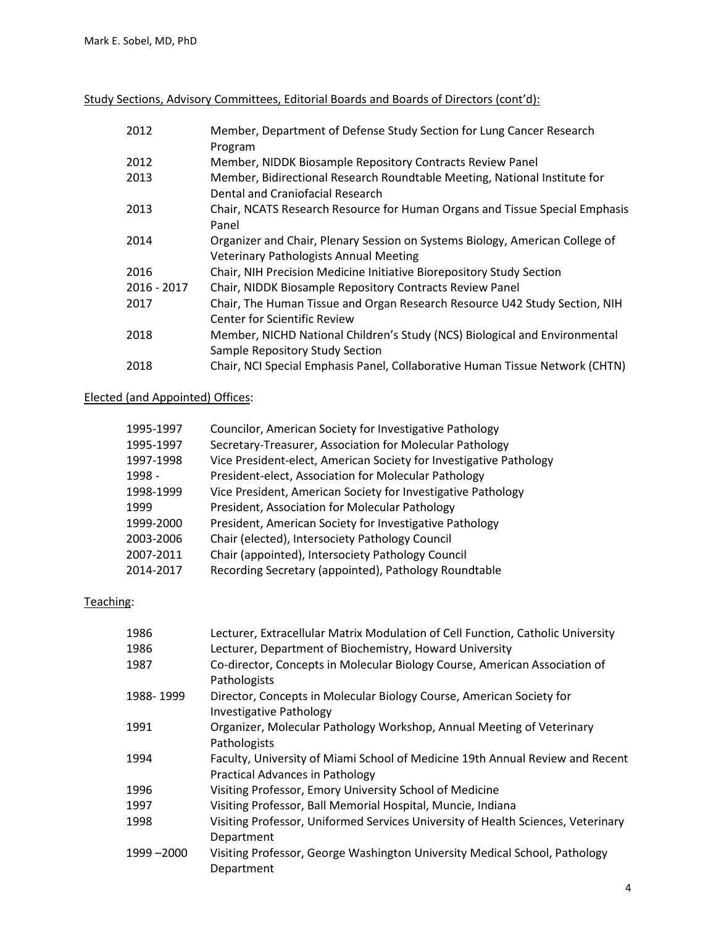Study Sections, Advisory Committees, Editorial Boards and Boards of Directors (cont'd):

| 2012          | Member, Department of Defense Study Section for Lung Cancer Research<br>Program                                               |
|---------------|-------------------------------------------------------------------------------------------------------------------------------|
| 2012          | Member, NIDDK Biosample Repository Contracts Review Panel                                                                     |
| 2013          | Member, Bidirectional Research Roundtable Meeting, National Institute for<br>Dental and Craniofacial Research                 |
| 2013          | Chair, NCATS Research Resource for Human Organs and Tissue Special Emphasis<br>Panel                                          |
| 2014          | Organizer and Chair, Plenary Session on Systems Biology, American College of<br><b>Veterinary Pathologists Annual Meeting</b> |
| 2016          | Chair, NIH Precision Medicine Initiative Biorepository Study Section                                                          |
| $2016 - 2017$ | Chair, NIDDK Biosample Repository Contracts Review Panel                                                                      |
| 2017          | Chair, The Human Tissue and Organ Research Resource U42 Study Section, NIH<br>Center for Scientific Review                    |
| 2018          | Member, NICHD National Children's Study (NCS) Biological and Environmental                                                    |
|               | Sample Repository Study Section                                                                                               |
| 2018          | Chair, NCI Special Emphasis Panel, Collaborative Human Tissue Network (CHTN)                                                  |

# Elected (and Appointed) Offices:

| 1995-1997 | Councilor, American Society for Investigative Pathology            |
|-----------|--------------------------------------------------------------------|
| 1995-1997 | Secretary-Treasurer, Association for Molecular Pathology           |
| 1997-1998 | Vice President-elect, American Society for Investigative Pathology |
| 1998 -    | President-elect, Association for Molecular Pathology               |
| 1998-1999 | Vice President, American Society for Investigative Pathology       |
| 1999      | President, Association for Molecular Pathology                     |
| 1999-2000 | President, American Society for Investigative Pathology            |
| 2003-2006 | Chair (elected), Intersociety Pathology Council                    |
| 2007-2011 | Chair (appointed), Intersociety Pathology Council                  |
| 2014-2017 | Recording Secretary (appointed), Pathology Roundtable              |

# Teaching:

| 1986        | Lecturer, Extracellular Matrix Modulation of Cell Function, Catholic University                                  |
|-------------|------------------------------------------------------------------------------------------------------------------|
| 1986        | Lecturer, Department of Biochemistry, Howard University                                                          |
| 1987        | Co-director, Concepts in Molecular Biology Course, American Association of<br>Pathologists                       |
| 1988-1999   | Director, Concepts in Molecular Biology Course, American Society for<br><b>Investigative Pathology</b>           |
| 1991        | Organizer, Molecular Pathology Workshop, Annual Meeting of Veterinary<br>Pathologists                            |
| 1994        | Faculty, University of Miami School of Medicine 19th Annual Review and Recent<br>Practical Advances in Pathology |
| 1996        | Visiting Professor, Emory University School of Medicine                                                          |
| 1997        | Visiting Professor, Ball Memorial Hospital, Muncie, Indiana                                                      |
| 1998        | Visiting Professor, Uniformed Services University of Health Sciences, Veterinary                                 |
|             | Department                                                                                                       |
| 1999 - 2000 | Visiting Professor, George Washington University Medical School, Pathology<br>Department                         |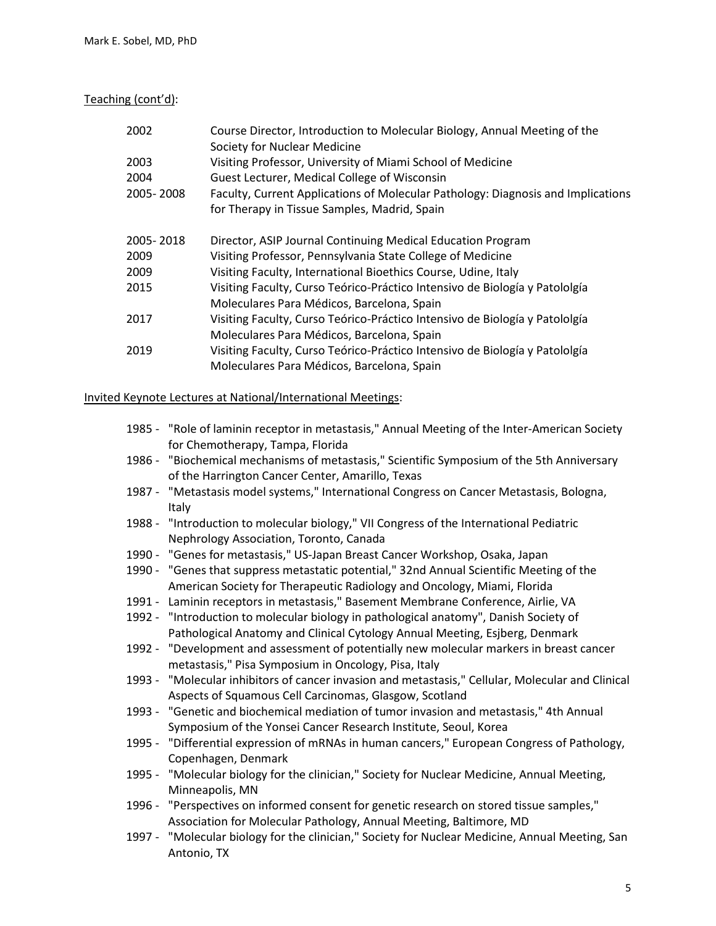Teaching (cont'd):

| 2002      | Course Director, Introduction to Molecular Biology, Annual Meeting of the<br>Society for Nuclear Medicine |
|-----------|-----------------------------------------------------------------------------------------------------------|
| 2003      | Visiting Professor, University of Miami School of Medicine                                                |
| 2004      | Guest Lecturer, Medical College of Wisconsin                                                              |
| 2005-2008 | Faculty, Current Applications of Molecular Pathology: Diagnosis and Implications                          |
|           | for Therapy in Tissue Samples, Madrid, Spain                                                              |
| 2005-2018 | Director, ASIP Journal Continuing Medical Education Program                                               |
| 2009      | Visiting Professor, Pennsylvania State College of Medicine                                                |
| 2009      | Visiting Faculty, International Bioethics Course, Udine, Italy                                            |
| 2015      | Visiting Faculty, Curso Teórico-Práctico Intensivo de Biología y Patololgía                               |
|           | Moleculares Para Médicos, Barcelona, Spain                                                                |
| 2017      | Visiting Faculty, Curso Teórico-Práctico Intensivo de Biología y Patololgía                               |
|           | Moleculares Para Médicos, Barcelona, Spain                                                                |
| 2019      | Visiting Faculty, Curso Teórico-Práctico Intensivo de Biología y Patololgía                               |
|           | Moleculares Para Médicos, Barcelona, Spain                                                                |

## Invited Keynote Lectures at National/International Meetings:

- 1985 "Role of laminin receptor in metastasis," Annual Meeting of the Inter-American Society for Chemotherapy, Tampa, Florida
- 1986 "Biochemical mechanisms of metastasis," Scientific Symposium of the 5th Anniversary of the Harrington Cancer Center, Amarillo, Texas
- 1987 "Metastasis model systems," International Congress on Cancer Metastasis, Bologna, Italy
- 1988 "Introduction to molecular biology," VII Congress of the International Pediatric Nephrology Association, Toronto, Canada
- 1990 "Genes for metastasis," US-Japan Breast Cancer Workshop, Osaka, Japan
- 1990 "Genes that suppress metastatic potential," 32nd Annual Scientific Meeting of the American Society for Therapeutic Radiology and Oncology, Miami, Florida
- 1991 Laminin receptors in metastasis," Basement Membrane Conference, Airlie, VA
- 1992 "Introduction to molecular biology in pathological anatomy", Danish Society of Pathological Anatomy and Clinical Cytology Annual Meeting, Esjberg, Denmark
- 1992 "Development and assessment of potentially new molecular markers in breast cancer metastasis," Pisa Symposium in Oncology, Pisa, Italy
- 1993 "Molecular inhibitors of cancer invasion and metastasis," Cellular, Molecular and Clinical Aspects of Squamous Cell Carcinomas, Glasgow, Scotland
- 1993 "Genetic and biochemical mediation of tumor invasion and metastasis," 4th Annual Symposium of the Yonsei Cancer Research Institute, Seoul, Korea
- 1995 "Differential expression of mRNAs in human cancers," European Congress of Pathology, Copenhagen, Denmark
- 1995 "Molecular biology for the clinician," Society for Nuclear Medicine, Annual Meeting, Minneapolis, MN
- 1996 "Perspectives on informed consent for genetic research on stored tissue samples," Association for Molecular Pathology, Annual Meeting, Baltimore, MD
- 1997 "Molecular biology for the clinician," Society for Nuclear Medicine, Annual Meeting, San Antonio, TX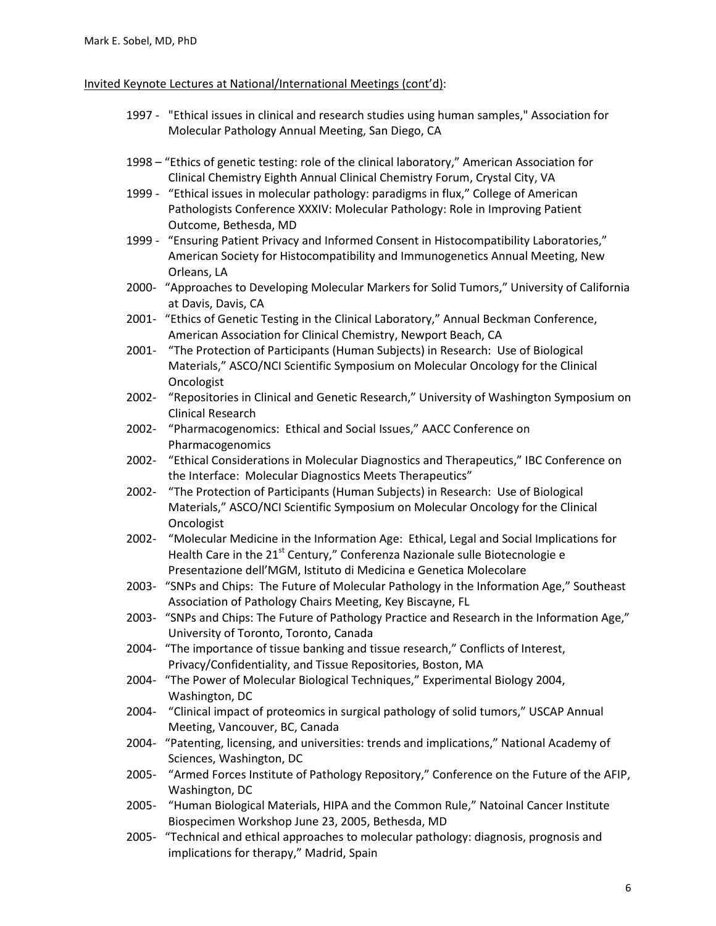### Invited Keynote Lectures at National/International Meetings (cont'd):

- 1997 "Ethical issues in clinical and research studies using human samples," Association for Molecular Pathology Annual Meeting, San Diego, CA
- 1998 "Ethics of genetic testing: role of the clinical laboratory," American Association for Clinical Chemistry Eighth Annual Clinical Chemistry Forum, Crystal City, VA
- 1999 "Ethical issues in molecular pathology: paradigms in flux," College of American Pathologists Conference XXXIV: Molecular Pathology: Role in Improving Patient Outcome, Bethesda, MD
- 1999 "Ensuring Patient Privacy and Informed Consent in Histocompatibility Laboratories," American Society for Histocompatibility and Immunogenetics Annual Meeting, New Orleans, LA
- 2000- "Approaches to Developing Molecular Markers for Solid Tumors," University of California at Davis, Davis, CA
- 2001- "Ethics of Genetic Testing in the Clinical Laboratory," Annual Beckman Conference, American Association for Clinical Chemistry, Newport Beach, CA
- 2001- "The Protection of Participants (Human Subjects) in Research: Use of Biological Materials," ASCO/NCI Scientific Symposium on Molecular Oncology for the Clinical **Oncologist**
- 2002- "Repositories in Clinical and Genetic Research," University of Washington Symposium on Clinical Research
- 2002- "Pharmacogenomics: Ethical and Social Issues," AACC Conference on Pharmacogenomics
- 2002- "Ethical Considerations in Molecular Diagnostics and Therapeutics," IBC Conference on the Interface: Molecular Diagnostics Meets Therapeutics"
- 2002- "The Protection of Participants (Human Subjects) in Research: Use of Biological Materials," ASCO/NCI Scientific Symposium on Molecular Oncology for the Clinical **Oncologist**
- 2002- "Molecular Medicine in the Information Age: Ethical, Legal and Social Implications for Health Care in the  $21<sup>st</sup>$  Century," Conferenza Nazionale sulle Biotecnologie e Presentazione dell'MGM, Istituto di Medicina e Genetica Molecolare
- 2003- "SNPs and Chips: The Future of Molecular Pathology in the Information Age," Southeast Association of Pathology Chairs Meeting, Key Biscayne, FL
- 2003- "SNPs and Chips: The Future of Pathology Practice and Research in the Information Age," University of Toronto, Toronto, Canada
- 2004- "The importance of tissue banking and tissue research," Conflicts of Interest, Privacy/Confidentiality, and Tissue Repositories, Boston, MA
- 2004- "The Power of Molecular Biological Techniques," Experimental Biology 2004, Washington, DC
- 2004- "Clinical impact of proteomics in surgical pathology of solid tumors," USCAP Annual Meeting, Vancouver, BC, Canada
- 2004- "Patenting, licensing, and universities: trends and implications," National Academy of Sciences, Washington, DC
- 2005- "Armed Forces Institute of Pathology Repository," Conference on the Future of the AFIP, Washington, DC
- 2005- "Human Biological Materials, HIPA and the Common Rule," Natoinal Cancer Institute Biospecimen Workshop June 23, 2005, Bethesda, MD
- 2005- "Technical and ethical approaches to molecular pathology: diagnosis, prognosis and implications for therapy," Madrid, Spain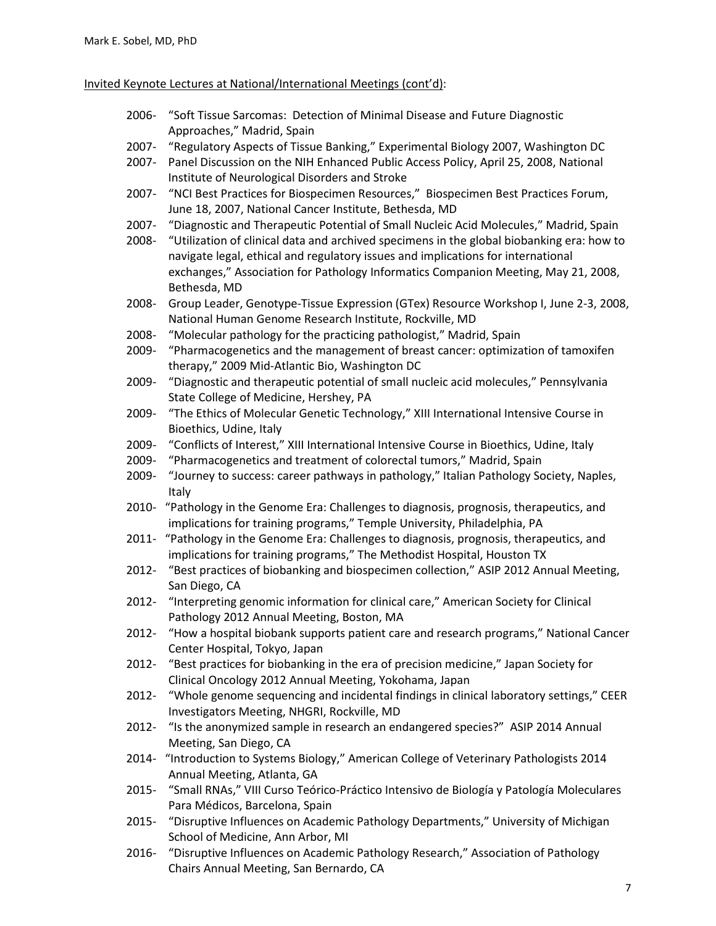#### Invited Keynote Lectures at National/International Meetings (cont'd):

- 2006- "Soft Tissue Sarcomas: Detection of Minimal Disease and Future Diagnostic Approaches," Madrid, Spain
- 2007- "Regulatory Aspects of Tissue Banking," Experimental Biology 2007, Washington DC
- 2007- Panel Discussion on the NIH Enhanced Public Access Policy, April 25, 2008, National Institute of Neurological Disorders and Stroke
- 2007- "NCI Best Practices for Biospecimen Resources," Biospecimen Best Practices Forum, June 18, 2007, National Cancer Institute, Bethesda, MD
- 2007- "Diagnostic and Therapeutic Potential of Small Nucleic Acid Molecules," Madrid, Spain
- 2008- "Utilization of clinical data and archived specimens in the global biobanking era: how to navigate legal, ethical and regulatory issues and implications for international exchanges," Association for Pathology Informatics Companion Meeting, May 21, 2008, Bethesda, MD
- 2008- Group Leader, Genotype-Tissue Expression (GTex) Resource Workshop I, June 2-3, 2008, National Human Genome Research Institute, Rockville, MD
- 2008- "Molecular pathology for the practicing pathologist," Madrid, Spain
- 2009- "Pharmacogenetics and the management of breast cancer: optimization of tamoxifen therapy," 2009 Mid-Atlantic Bio, Washington DC
- 2009- "Diagnostic and therapeutic potential of small nucleic acid molecules," Pennsylvania State College of Medicine, Hershey, PA
- 2009- "The Ethics of Molecular Genetic Technology," XIII International Intensive Course in Bioethics, Udine, Italy
- 2009- "Conflicts of Interest," XIII International Intensive Course in Bioethics, Udine, Italy
- 2009- "Pharmacogenetics and treatment of colorectal tumors," Madrid, Spain
- 2009- "Journey to success: career pathways in pathology," Italian Pathology Society, Naples, Italy
- 2010- "Pathology in the Genome Era: Challenges to diagnosis, prognosis, therapeutics, and implications for training programs," Temple University, Philadelphia, PA
- 2011- "Pathology in the Genome Era: Challenges to diagnosis, prognosis, therapeutics, and implications for training programs," The Methodist Hospital, Houston TX
- 2012- "Best practices of biobanking and biospecimen collection," ASIP 2012 Annual Meeting, San Diego, CA
- 2012- "Interpreting genomic information for clinical care," American Society for Clinical Pathology 2012 Annual Meeting, Boston, MA
- 2012- "How a hospital biobank supports patient care and research programs," National Cancer Center Hospital, Tokyo, Japan
- 2012- "Best practices for biobanking in the era of precision medicine," Japan Society for Clinical Oncology 2012 Annual Meeting, Yokohama, Japan
- 2012- "Whole genome sequencing and incidental findings in clinical laboratory settings," CEER Investigators Meeting, NHGRI, Rockville, MD
- 2012- "Is the anonymized sample in research an endangered species?" ASIP 2014 Annual Meeting, San Diego, CA
- 2014- "Introduction to Systems Biology," American College of Veterinary Pathologists 2014 Annual Meeting, Atlanta, GA
- 2015- "Small RNAs," VIII Curso Teórico-Práctico Intensivo de Biología y Patología Moleculares Para Médicos, Barcelona, Spain
- 2015- "Disruptive Influences on Academic Pathology Departments," University of Michigan School of Medicine, Ann Arbor, MI
- 2016- "Disruptive Influences on Academic Pathology Research," Association of Pathology Chairs Annual Meeting, San Bernardo, CA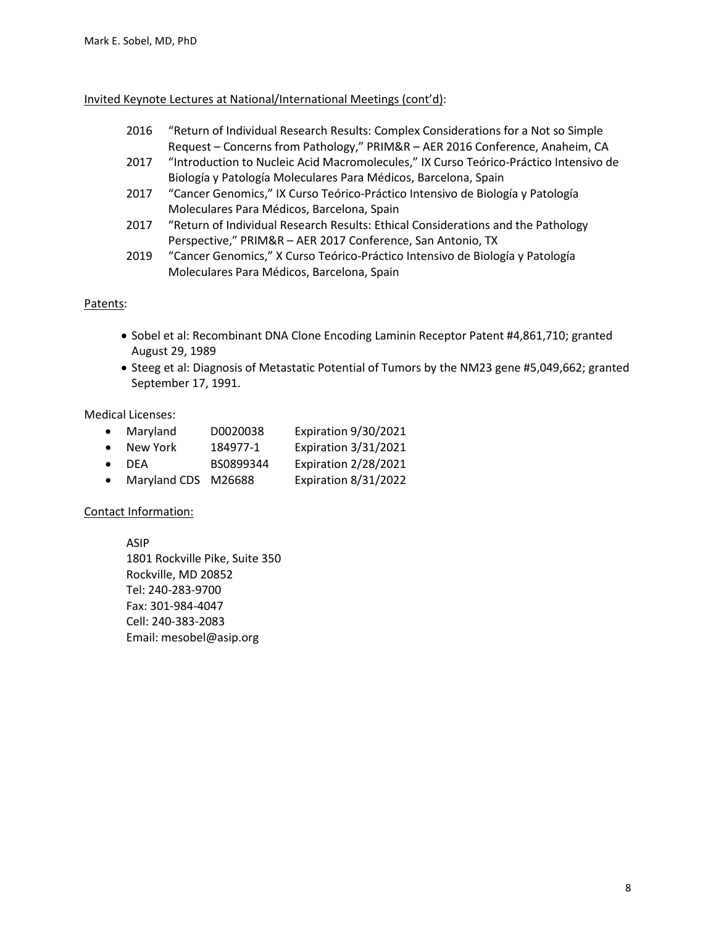#### Invited Keynote Lectures at National/International Meetings (cont'd):

- 2016 "Return of Individual Research Results: Complex Considerations for a Not so Simple Request – Concerns from Pathology," PRIM&R – AER 2016 Conference, Anaheim, CA
- 2017 "Introduction to Nucleic Acid Macromolecules," IX Curso Teórico-Práctico Intensivo de Biología y Patología Moleculares Para Médicos, Barcelona, Spain
- 2017 "Cancer Genomics," IX Curso Teórico-Práctico Intensivo de Biología y Patología Moleculares Para Médicos, Barcelona, Spain
- 2017 "Return of Individual Research Results: Ethical Considerations and the Pathology Perspective," PRIM&R – AER 2017 Conference, San Antonio, TX
- 2019 "Cancer Genomics," X Curso Teórico-Práctico Intensivo de Biología y Patología Moleculares Para Médicos, Barcelona, Spain

## Patents:

- Sobel et al: Recombinant DNA Clone Encoding Laminin Receptor Patent #4,861,710; granted August 29, 1989
- Steeg et al: Diagnosis of Metastatic Potential of Tumors by the NM23 gene #5,049,662; granted September 17, 1991.

## Medical Licenses:

- Maryland D0020038 Expiration 9/30/2021
- New York 184977-1 Expiration 3/31/2021
- DEA BS0899344 Expiration 2/28/2021
- Maryland CDS M26688 Expiration 8/31/2022

## Contact Information:

ASIP 1801 Rockville Pike, Suite 350 Rockville, MD 20852 Tel: 240-283-9700 Fax: 301-984-4047 Cell: 240-383-2083 Email: mesobel@asip.org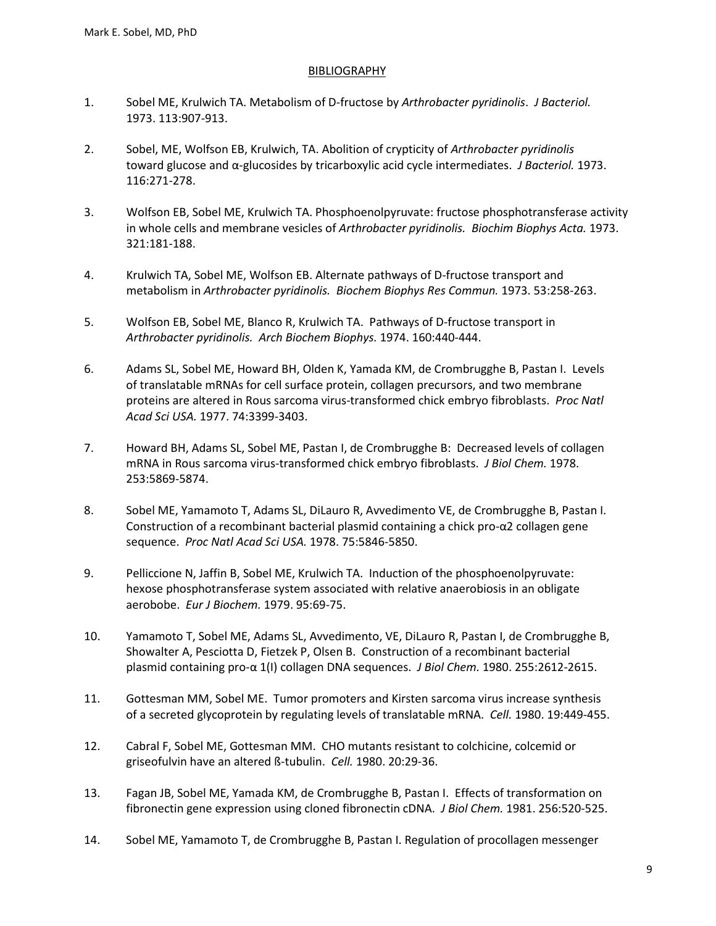#### **BIBLIOGRAPHY**

- 1. Sobel ME, Krulwich TA. Metabolism of D-fructose by *Arthrobacter pyridinolis*. *J Bacteriol.* 1973. 113:907-913.
- 2. Sobel, ME, Wolfson EB, Krulwich, TA. Abolition of crypticity of *Arthrobacter pyridinolis* toward glucose and α-glucosides by tricarboxylic acid cycle intermediates. *J Bacteriol.* 1973. 116:271-278.
- 3. Wolfson EB, Sobel ME, Krulwich TA. Phosphoenolpyruvate: fructose phosphotransferase activity in whole cells and membrane vesicles of *Arthrobacter pyridinolis. Biochim Biophys Acta.* 1973. 321:181-188.
- 4. Krulwich TA, Sobel ME, Wolfson EB. Alternate pathways of D-fructose transport and metabolism in *Arthrobacter pyridinolis. Biochem Biophys Res Commun.* 1973. 53:258-263.
- 5. Wolfson EB, Sobel ME, Blanco R, Krulwich TA. Pathways of D-fructose transport in *Arthrobacter pyridinolis. Arch Biochem Biophys.* 1974. 160:440-444.
- 6. Adams SL, Sobel ME, Howard BH, Olden K, Yamada KM, de Crombrugghe B, Pastan I. Levels of translatable mRNAs for cell surface protein, collagen precursors, and two membrane proteins are altered in Rous sarcoma virus-transformed chick embryo fibroblasts. *Proc Natl Acad Sci USA.* 1977. 74:3399-3403.
- 7. Howard BH, Adams SL, Sobel ME, Pastan I, de Crombrugghe B: Decreased levels of collagen mRNA in Rous sarcoma virus-transformed chick embryo fibroblasts. *J Biol Chem.* 1978. 253:5869-5874.
- 8. Sobel ME, Yamamoto T, Adams SL, DiLauro R, Avvedimento VE, de Crombrugghe B, Pastan I. Construction of a recombinant bacterial plasmid containing a chick pro-α2 collagen gene sequence. *Proc Natl Acad Sci USA.* 1978. 75:5846-5850.
- 9. Pelliccione N, Jaffin B, Sobel ME, Krulwich TA. Induction of the phosphoenolpyruvate: hexose phosphotransferase system associated with relative anaerobiosis in an obligate aerobobe. *Eur J Biochem.* 1979. 95:69-75.
- 10. Yamamoto T, Sobel ME, Adams SL, Avvedimento, VE, DiLauro R, Pastan I, de Crombrugghe B, Showalter A, Pesciotta D, Fietzek P, Olsen B. Construction of a recombinant bacterial plasmid containing pro-α 1(I) collagen DNA sequences. *J Biol Chem.* 1980. 255:2612-2615.
- 11. Gottesman MM, Sobel ME. Tumor promoters and Kirsten sarcoma virus increase synthesis of a secreted glycoprotein by regulating levels of translatable mRNA. *Cell.* 1980. 19:449-455.
- 12. Cabral F, Sobel ME, Gottesman MM. CHO mutants resistant to colchicine, colcemid or griseofulvin have an altered ß-tubulin. *Cell.* 1980. 20:29-36.
- 13. Fagan JB, Sobel ME, Yamada KM, de Crombrugghe B, Pastan I. Effects of transformation on fibronectin gene expression using cloned fibronectin cDNA. *J Biol Chem.* 1981. 256:520-525.
- 14. Sobel ME, Yamamoto T, de Crombrugghe B, Pastan I. Regulation of procollagen messenger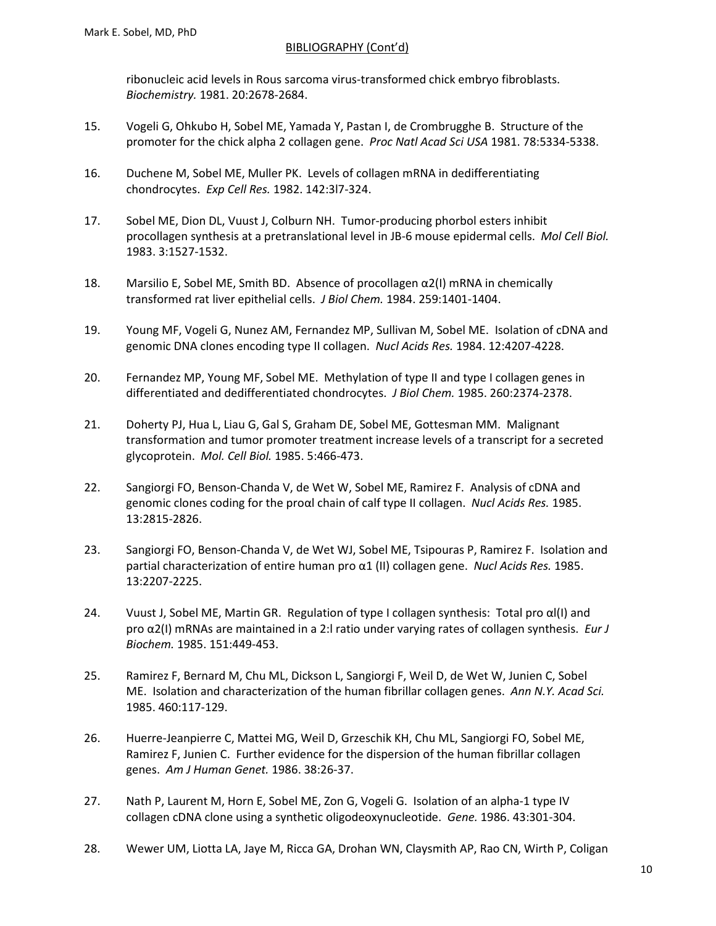ribonucleic acid levels in Rous sarcoma virus-transformed chick embryo fibroblasts. *Biochemistry.* 1981. 20:2678-2684.

- 15. Vogeli G, Ohkubo H, Sobel ME, Yamada Y, Pastan I, de Crombrugghe B. Structure of the promoter for the chick alpha 2 collagen gene. *Proc Natl Acad Sci USA* 1981. 78:5334-5338.
- 16. Duchene M, Sobel ME, Muller PK. Levels of collagen mRNA in dedifferentiating chondrocytes. *Exp Cell Res.* 1982. 142:3l7-324.
- 17. Sobel ME, Dion DL, Vuust J, Colburn NH. Tumor-producing phorbol esters inhibit procollagen synthesis at a pretranslational level in JB-6 mouse epidermal cells. *Mol Cell Biol.* 1983. 3:1527-1532.
- 18. Marsilio E, Sobel ME, Smith BD. Absence of procollagen  $\alpha$ 2(I) mRNA in chemically transformed rat liver epithelial cells. *J Biol Chem.* 1984. 259:1401-1404.
- 19. Young MF, Vogeli G, Nunez AM, Fernandez MP, Sullivan M, Sobel ME. Isolation of cDNA and genomic DNA clones encoding type II collagen. *Nucl Acids Res.* 1984. 12:4207-4228.
- 20. Fernandez MP, Young MF, Sobel ME. Methylation of type II and type I collagen genes in differentiated and dedifferentiated chondrocytes. *J Biol Chem.* 1985. 260:2374-2378.
- 21. Doherty PJ, Hua L, Liau G, Gal S, Graham DE, Sobel ME, Gottesman MM. Malignant transformation and tumor promoter treatment increase levels of a transcript for a secreted glycoprotein. *Mol. Cell Biol.* 1985. 5:466-473.
- 22. Sangiorgi FO, Benson-Chanda V, de Wet W, Sobel ME, Ramirez F. Analysis of cDNA and genomic clones coding for the proαl chain of calf type II collagen. *Nucl Acids Res.* 1985. 13:2815-2826.
- 23. Sangiorgi FO, Benson-Chanda V, de Wet WJ, Sobel ME, Tsipouras P, Ramirez F. Isolation and partial characterization of entire human pro α1 (II) collagen gene. *Nucl Acids Res.* 1985. 13:2207-2225.
- 24. Vuust J, Sobel ME, Martin GR. Regulation of type I collagen synthesis: Total pro αl(I) and pro α2(I) mRNAs are maintained in a 2:l ratio under varying rates of collagen synthesis. *Eur J Biochem.* 1985. 151:449-453.
- 25. Ramirez F, Bernard M, Chu ML, Dickson L, Sangiorgi F, Weil D, de Wet W, Junien C, Sobel ME. Isolation and characterization of the human fibrillar collagen genes. *Ann N.Y. Acad Sci.* 1985. 460:117-129.
- 26. Huerre-Jeanpierre C, Mattei MG, Weil D, Grzeschik KH, Chu ML, Sangiorgi FO, Sobel ME, Ramirez F, Junien C. Further evidence for the dispersion of the human fibrillar collagen genes. *Am J Human Genet.* 1986. 38:26-37.
- 27. Nath P, Laurent M, Horn E, Sobel ME, Zon G, Vogeli G. Isolation of an alpha-1 type IV collagen cDNA clone using a synthetic oligodeoxynucleotide. *Gene.* 1986. 43:301-304.
- 28. Wewer UM, Liotta LA, Jaye M, Ricca GA, Drohan WN, Claysmith AP, Rao CN, Wirth P, Coligan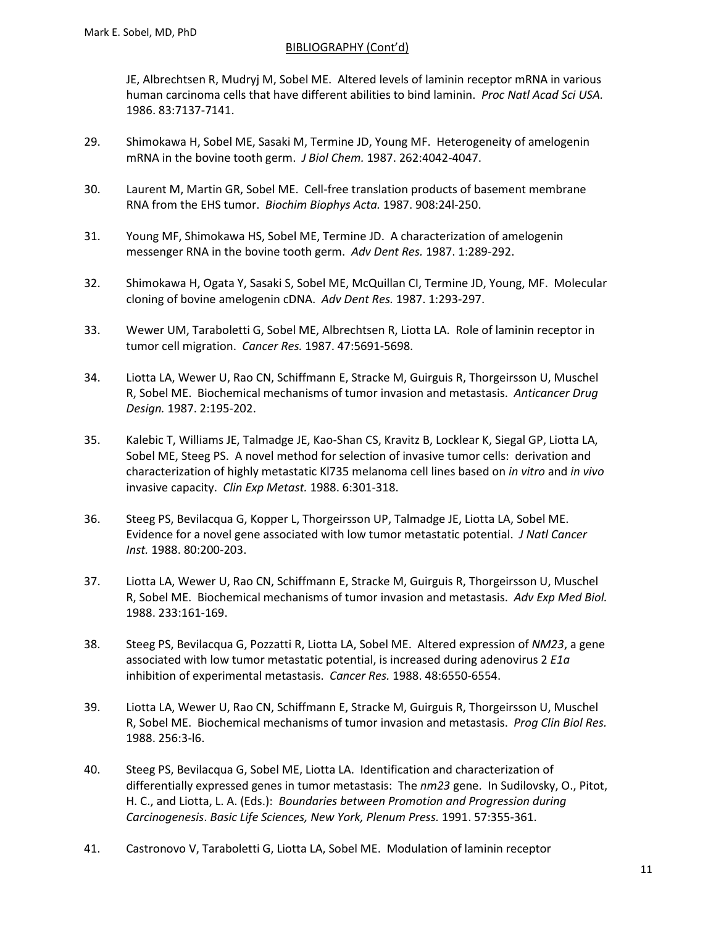JE, Albrechtsen R, Mudryj M, Sobel ME. Altered levels of laminin receptor mRNA in various human carcinoma cells that have different abilities to bind laminin. *Proc Natl Acad Sci USA.* 1986. 83:7137-7141.

- 29. Shimokawa H, Sobel ME, Sasaki M, Termine JD, Young MF. Heterogeneity of amelogenin mRNA in the bovine tooth germ. *J Biol Chem.* 1987. 262:4042-4047.
- 30. Laurent M, Martin GR, Sobel ME. Cell-free translation products of basement membrane RNA from the EHS tumor. *Biochim Biophys Acta.* 1987. 908:24l-250.
- 31. Young MF, Shimokawa HS, Sobel ME, Termine JD. A characterization of amelogenin messenger RNA in the bovine tooth germ. *Adv Dent Res.* 1987. 1:289-292.
- 32. Shimokawa H, Ogata Y, Sasaki S, Sobel ME, McQuillan CI, Termine JD, Young, MF. Molecular cloning of bovine amelogenin cDNA. *Adv Dent Res.* 1987. 1:293-297.
- 33. Wewer UM, Taraboletti G, Sobel ME, Albrechtsen R, Liotta LA. Role of laminin receptor in tumor cell migration. *Cancer Res.* 1987. 47:5691-5698.
- 34. Liotta LA, Wewer U, Rao CN, Schiffmann E, Stracke M, Guirguis R, Thorgeirsson U, Muschel R, Sobel ME. Biochemical mechanisms of tumor invasion and metastasis. *Anticancer Drug Design.* 1987. 2:195-202.
- 35. Kalebic T, Williams JE, Talmadge JE, Kao-Shan CS, Kravitz B, Locklear K, Siegal GP, Liotta LA, Sobel ME, Steeg PS. A novel method for selection of invasive tumor cells: derivation and characterization of highly metastatic Kl735 melanoma cell lines based on *in vitro* and *in vivo* invasive capacity. *Clin Exp Metast.* 1988. 6:301-318.
- 36. Steeg PS, Bevilacqua G, Kopper L, Thorgeirsson UP, Talmadge JE, Liotta LA, Sobel ME. Evidence for a novel gene associated with low tumor metastatic potential. *J Natl Cancer Inst.* 1988. 80:200-203.
- 37. Liotta LA, Wewer U, Rao CN, Schiffmann E, Stracke M, Guirguis R, Thorgeirsson U, Muschel R, Sobel ME. Biochemical mechanisms of tumor invasion and metastasis. *Adv Exp Med Biol.* 1988. 233:161-169.
- 38. Steeg PS, Bevilacqua G, Pozzatti R, Liotta LA, Sobel ME. Altered expression of *NM23*, a gene associated with low tumor metastatic potential, is increased during adenovirus 2 *E1a* inhibition of experimental metastasis. *Cancer Res.* 1988. 48:6550-6554.
- 39. Liotta LA, Wewer U, Rao CN, Schiffmann E, Stracke M, Guirguis R, Thorgeirsson U, Muschel R, Sobel ME. Biochemical mechanisms of tumor invasion and metastasis. *Prog Clin Biol Res.* 1988. 256:3-l6.
- 40. Steeg PS, Bevilacqua G, Sobel ME, Liotta LA. Identification and characterization of differentially expressed genes in tumor metastasis: The *nm23* gene. In Sudilovsky, O., Pitot, H. C., and Liotta, L. A. (Eds.): *Boundaries between Promotion and Progression during Carcinogenesis*. *Basic Life Sciences, New York, Plenum Press.* 1991. 57:355-361.
- 41. Castronovo V, Taraboletti G, Liotta LA, Sobel ME. Modulation of laminin receptor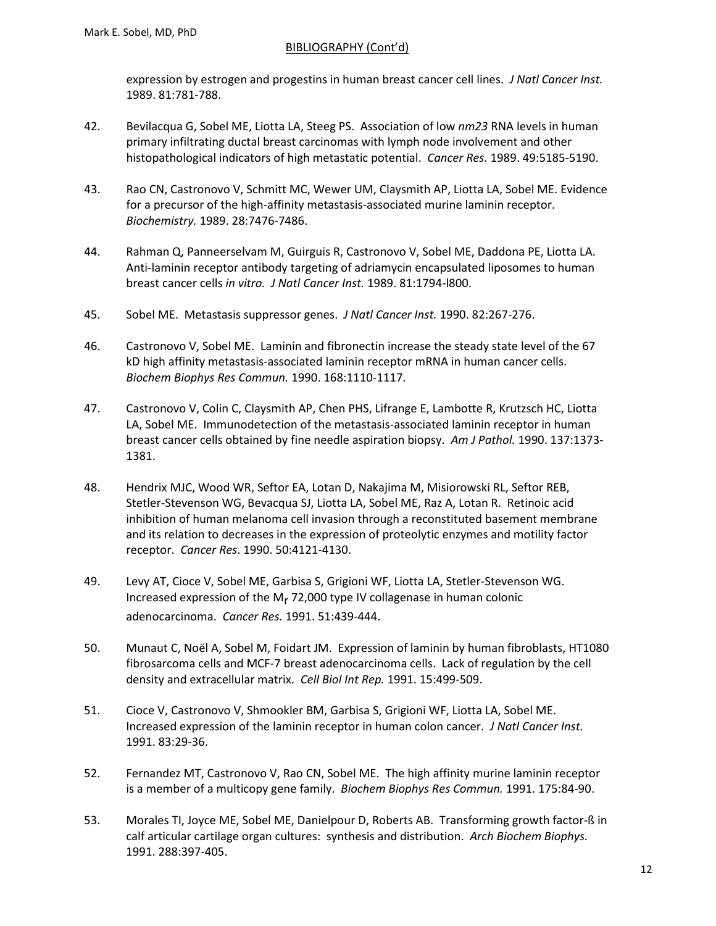expression by estrogen and progestins in human breast cancer cell lines. *J Natl Cancer Inst.* 1989. 81:781-788.

- 42. Bevilacqua G, Sobel ME, Liotta LA, Steeg PS. Association of low *nm23* RNA levels in human primary infiltrating ductal breast carcinomas with lymph node involvement and other histopathological indicators of high metastatic potential. *Cancer Res.* 1989. 49:5185-5190.
- 43. Rao CN, Castronovo V, Schmitt MC, Wewer UM, Claysmith AP, Liotta LA, Sobel ME. Evidence for a precursor of the high-affinity metastasis-associated murine laminin receptor. *Biochemistry.* 1989. 28:7476-7486.
- 44. Rahman Q, Panneerselvam M, Guirguis R, Castronovo V, Sobel ME, Daddona PE, Liotta LA. Anti-laminin receptor antibody targeting of adriamycin encapsulated liposomes to human breast cancer cells *in vitro. J Natl Cancer Inst.* 1989. 81:1794-l800.
- 45. Sobel ME. Metastasis suppressor genes. *J Natl Cancer Inst.* 1990. 82:267-276.
- 46. Castronovo V, Sobel ME. Laminin and fibronectin increase the steady state level of the 67 kD high affinity metastasis-associated laminin receptor mRNA in human cancer cells. *Biochem Biophys Res Commun.* 1990. 168:1110-1117.
- 47. Castronovo V, Colin C, Claysmith AP, Chen PHS, Lifrange E, Lambotte R, Krutzsch HC, Liotta LA, Sobel ME. Immunodetection of the metastasis-associated laminin receptor in human breast cancer cells obtained by fine needle aspiration biopsy. *Am J Pathol.* 1990. 137:1373- 1381.
- 48. Hendrix MJC, Wood WR, Seftor EA, Lotan D, Nakajima M, Misiorowski RL, Seftor REB, Stetler-Stevenson WG, Bevacqua SJ, Liotta LA, Sobel ME, Raz A, Lotan R. Retinoic acid inhibition of human melanoma cell invasion through a reconstituted basement membrane and its relation to decreases in the expression of proteolytic enzymes and motility factor receptor. *Cancer Res*. 1990. 50:4121-4130.
- 49. Levy AT, Cioce V, Sobel ME, Garbisa S, Grigioni WF, Liotta LA, Stetler-Stevenson WG. Increased expression of the M $<sub>r</sub>$  72,000 type IV collagenase in human colonic</sub> adenocarcinoma. *Cancer Res.* 1991. 51:439-444.
- 50. Munaut C, Noël A, Sobel M, Foidart JM. Expression of laminin by human fibroblasts, HT1080 fibrosarcoma cells and MCF-7 breast adenocarcinoma cells. Lack of regulation by the cell density and extracellular matrix. *Cell Biol Int Rep.* 1991. 15:499-509.
- 51. Cioce V, Castronovo V, Shmookler BM, Garbisa S, Grigioni WF, Liotta LA, Sobel ME. Increased expression of the laminin receptor in human colon cancer. *J Natl Cancer Inst.* 1991. 83:29-36.
- 52. Fernandez MT, Castronovo V, Rao CN, Sobel ME. The high affinity murine laminin receptor is a member of a multicopy gene family. *Biochem Biophys Res Commun.* 1991. 175:84-90.
- 53. Morales TI, Joyce ME, Sobel ME, Danielpour D, Roberts AB. Transforming growth factor-ß in calf articular cartilage organ cultures: synthesis and distribution. *Arch Biochem Biophys.* 1991. 288:397-405.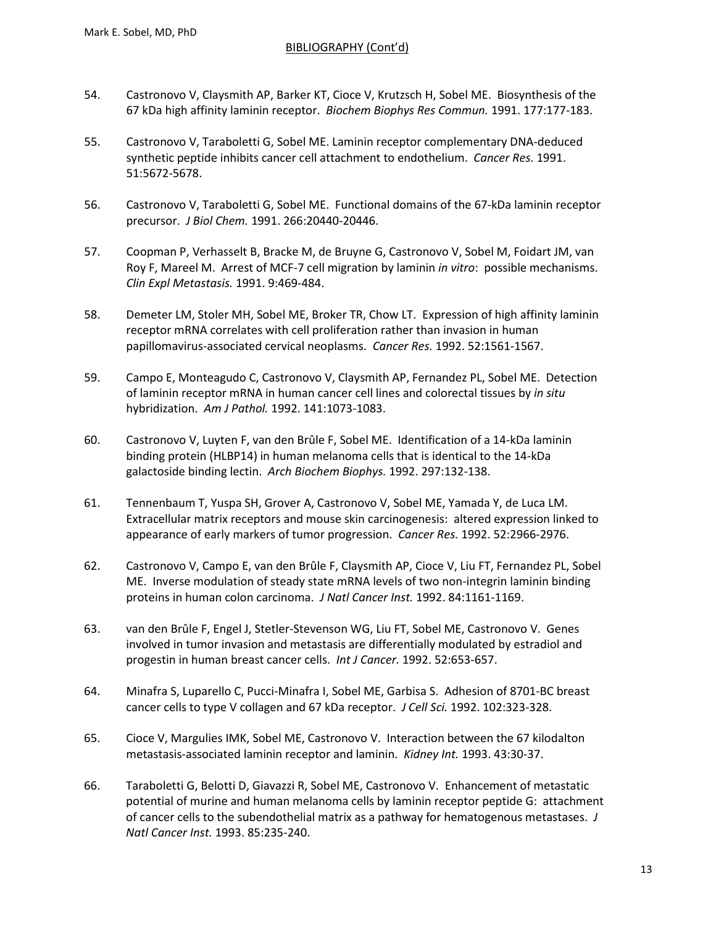- 54. Castronovo V, Claysmith AP, Barker KT, Cioce V, Krutzsch H, Sobel ME. Biosynthesis of the 67 kDa high affinity laminin receptor. *Biochem Biophys Res Commun.* 1991. 177:177-183.
- 55. Castronovo V, Taraboletti G, Sobel ME. Laminin receptor complementary DNA-deduced synthetic peptide inhibits cancer cell attachment to endothelium. *Cancer Res.* 1991. 51:5672-5678.
- 56. Castronovo V, Taraboletti G, Sobel ME. Functional domains of the 67-kDa laminin receptor precursor. *J Biol Chem.* 1991. 266:20440-20446.
- 57. Coopman P, Verhasselt B, Bracke M, de Bruyne G, Castronovo V, Sobel M, Foidart JM, van Roy F, Mareel M. Arrest of MCF-7 cell migration by laminin *in vitro*: possible mechanisms. *Clin Expl Metastasis.* 1991. 9:469-484.
- 58. Demeter LM, Stoler MH, Sobel ME, Broker TR, Chow LT. Expression of high affinity laminin receptor mRNA correlates with cell proliferation rather than invasion in human papillomavirus-associated cervical neoplasms. *Cancer Res.* 1992. 52:1561-1567.
- 59. Campo E, Monteagudo C, Castronovo V, Claysmith AP, Fernandez PL, Sobel ME. Detection of laminin receptor mRNA in human cancer cell lines and colorectal tissues by *in situ* hybridization. *Am J Pathol.* 1992. 141:1073-1083.
- 60. Castronovo V, Luyten F, van den Brûle F, Sobel ME. Identification of a 14-kDa laminin binding protein (HLBP14) in human melanoma cells that is identical to the 14-kDa galactoside binding lectin. *Arch Biochem Biophys.* 1992. 297:132-138.
- 61. Tennenbaum T, Yuspa SH, Grover A, Castronovo V, Sobel ME, Yamada Y, de Luca LM. Extracellular matrix receptors and mouse skin carcinogenesis: altered expression linked to appearance of early markers of tumor progression. *Cancer Res.* 1992. 52:2966-2976.
- 62. Castronovo V, Campo E, van den Brûle F, Claysmith AP, Cioce V, Liu FT, Fernandez PL, Sobel ME. Inverse modulation of steady state mRNA levels of two non-integrin laminin binding proteins in human colon carcinoma. *J Natl Cancer Inst.* 1992. 84:1161-1169.
- 63. van den Brûle F, Engel J, Stetler-Stevenson WG, Liu FT, Sobel ME, Castronovo V. Genes involved in tumor invasion and metastasis are differentially modulated by estradiol and progestin in human breast cancer cells. *Int J Cancer.* 1992. 52:653-657.
- 64. Minafra S, Luparello C, Pucci-Minafra I, Sobel ME, Garbisa S. Adhesion of 8701-BC breast cancer cells to type V collagen and 67 kDa receptor. *J Cell Sci.* 1992. 102:323-328.
- 65. Cioce V, Margulies IMK, Sobel ME, Castronovo V. Interaction between the 67 kilodalton metastasis-associated laminin receptor and laminin. *Kidney Int.* 1993. 43:30-37.
- 66. Taraboletti G, Belotti D, Giavazzi R, Sobel ME, Castronovo V. Enhancement of metastatic potential of murine and human melanoma cells by laminin receptor peptide G: attachment of cancer cells to the subendothelial matrix as a pathway for hematogenous metastases. *J Natl Cancer Inst.* 1993. 85:235-240.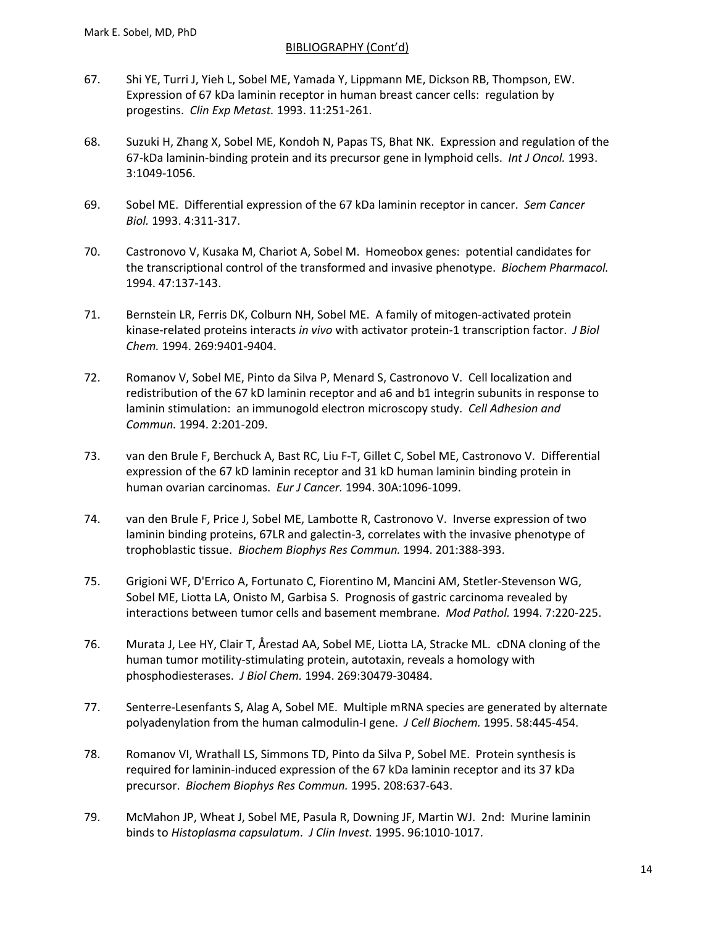- 67. Shi YE, Turri J, Yieh L, Sobel ME, Yamada Y, Lippmann ME, Dickson RB, Thompson, EW. Expression of 67 kDa laminin receptor in human breast cancer cells: regulation by progestins. *Clin Exp Metast.* 1993. 11:251-261.
- 68. Suzuki H, Zhang X, Sobel ME, Kondoh N, Papas TS, Bhat NK. Expression and regulation of the 67-kDa laminin-binding protein and its precursor gene in lymphoid cells. *Int J Oncol.* 1993. 3:1049-1056.
- 69. Sobel ME. Differential expression of the 67 kDa laminin receptor in cancer. *Sem Cancer Biol.* 1993. 4:311-317.
- 70. Castronovo V, Kusaka M, Chariot A, Sobel M. Homeobox genes: potential candidates for the transcriptional control of the transformed and invasive phenotype. *Biochem Pharmacol.* 1994. 47:137-143.
- 71. Bernstein LR, Ferris DK, Colburn NH, Sobel ME. A family of mitogen-activated protein kinase-related proteins interacts *in vivo* with activator protein-1 transcription factor. *J Biol Chem.* 1994. 269:9401-9404.
- 72. Romanov V, Sobel ME, Pinto da Silva P, Menard S, Castronovo V. Cell localization and redistribution of the 67 kD laminin receptor and a6 and b1 integrin subunits in response to laminin stimulation: an immunogold electron microscopy study. *Cell Adhesion and Commun.* 1994. 2:201-209.
- 73. van den Brule F, Berchuck A, Bast RC, Liu F-T, Gillet C, Sobel ME, Castronovo V. Differential expression of the 67 kD laminin receptor and 31 kD human laminin binding protein in human ovarian carcinomas. *Eur J Cancer.* 1994. 30A:1096-1099.
- 74. van den Brule F, Price J, Sobel ME, Lambotte R, Castronovo V. Inverse expression of two laminin binding proteins, 67LR and galectin-3, correlates with the invasive phenotype of trophoblastic tissue. *Biochem Biophys Res Commun.* 1994. 201:388-393.
- 75. Grigioni WF, D'Errico A, Fortunato C, Fiorentino M, Mancini AM, Stetler-Stevenson WG, Sobel ME, Liotta LA, Onisto M, Garbisa S. Prognosis of gastric carcinoma revealed by interactions between tumor cells and basement membrane. *Mod Pathol.* 1994. 7:220-225.
- 76. Murata J, Lee HY, Clair T, Årestad AA, Sobel ME, Liotta LA, Stracke ML. cDNA cloning of the human tumor motility-stimulating protein, autotaxin, reveals a homology with phosphodiesterases. *J Biol Chem.* 1994. 269:30479-30484.
- 77. Senterre-Lesenfants S, Alag A, Sobel ME. Multiple mRNA species are generated by alternate polyadenylation from the human calmodulin-I gene. *J Cell Biochem.* 1995. 58:445-454.
- 78. Romanov VI, Wrathall LS, Simmons TD, Pinto da Silva P, Sobel ME. Protein synthesis is required for laminin-induced expression of the 67 kDa laminin receptor and its 37 kDa precursor. *Biochem Biophys Res Commun.* 1995. 208:637-643.
- 79. McMahon JP, Wheat J, Sobel ME, Pasula R, Downing JF, Martin WJ. 2nd: Murine laminin binds to *Histoplasma capsulatum*. *J Clin Invest.* 1995. 96:1010-1017.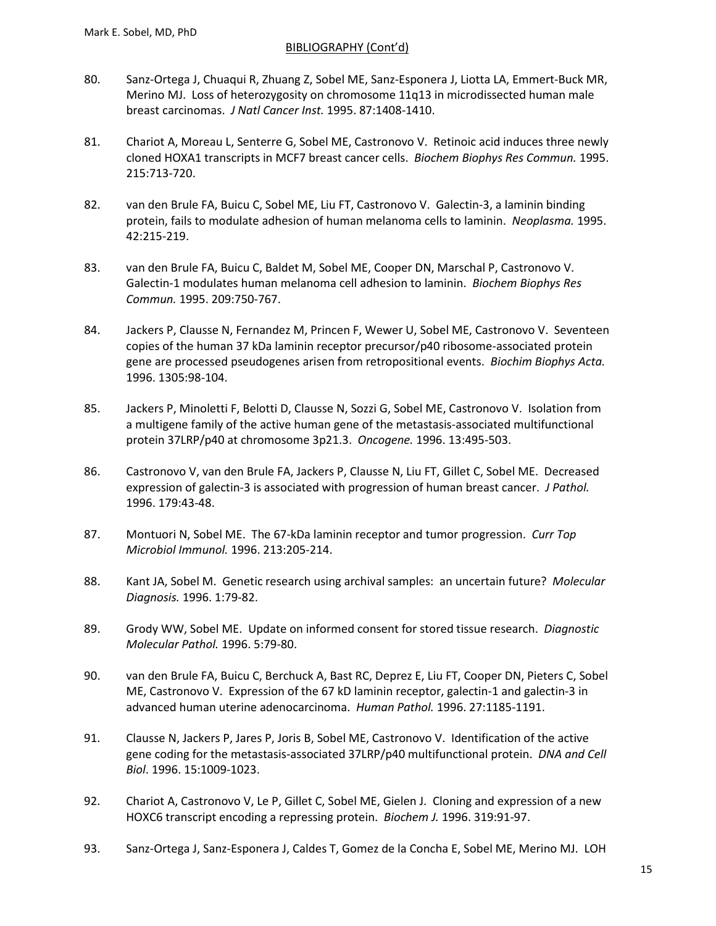- 80. Sanz-Ortega J, Chuaqui R, Zhuang Z, Sobel ME, Sanz-Esponera J, Liotta LA, Emmert-Buck MR, Merino MJ. Loss of heterozygosity on chromosome 11q13 in microdissected human male breast carcinomas. *J Natl Cancer Inst.* 1995. 87:1408-1410.
- 81. Chariot A, Moreau L, Senterre G, Sobel ME, Castronovo V. Retinoic acid induces three newly cloned HOXA1 transcripts in MCF7 breast cancer cells. *Biochem Biophys Res Commun.* 1995. 215:713-720.
- 82. van den Brule FA, Buicu C, Sobel ME, Liu FT, Castronovo V. Galectin-3, a laminin binding protein, fails to modulate adhesion of human melanoma cells to laminin. *Neoplasma.* 1995. 42:215-219.
- 83. van den Brule FA, Buicu C, Baldet M, Sobel ME, Cooper DN, Marschal P, Castronovo V. Galectin-1 modulates human melanoma cell adhesion to laminin. *Biochem Biophys Res Commun.* 1995. 209:750-767.
- 84. Jackers P, Clausse N, Fernandez M, Princen F, Wewer U, Sobel ME, Castronovo V. Seventeen copies of the human 37 kDa laminin receptor precursor/p40 ribosome-associated protein gene are processed pseudogenes arisen from retropositional events. *Biochim Biophys Acta.* 1996. 1305:98-104.
- 85. Jackers P, Minoletti F, Belotti D, Clausse N, Sozzi G, Sobel ME, Castronovo V. Isolation from a multigene family of the active human gene of the metastasis-associated multifunctional protein 37LRP/p40 at chromosome 3p21.3. *Oncogene.* 1996. 13:495-503.
- 86. Castronovo V, van den Brule FA, Jackers P, Clausse N, Liu FT, Gillet C, Sobel ME. Decreased expression of galectin-3 is associated with progression of human breast cancer. *J Pathol.* 1996. 179:43-48.
- 87. Montuori N, Sobel ME. The 67-kDa laminin receptor and tumor progression. *Curr Top Microbiol Immunol.* 1996. 213:205-214.
- 88. Kant JA, Sobel M. Genetic research using archival samples: an uncertain future? *Molecular Diagnosis.* 1996. 1:79-82.
- 89. Grody WW, Sobel ME. Update on informed consent for stored tissue research. *Diagnostic Molecular Pathol.* 1996. 5:79-80.
- 90. van den Brule FA, Buicu C, Berchuck A, Bast RC, Deprez E, Liu FT, Cooper DN, Pieters C, Sobel ME, Castronovo V. Expression of the 67 kD laminin receptor, galectin-1 and galectin-3 in advanced human uterine adenocarcinoma. *Human Pathol.* 1996. 27:1185-1191.
- 91. Clausse N, Jackers P, Jares P, Joris B, Sobel ME, Castronovo V. Identification of the active gene coding for the metastasis-associated 37LRP/p40 multifunctional protein. *DNA and Cell Biol*. 1996. 15:1009-1023.
- 92. Chariot A, Castronovo V, Le P, Gillet C, Sobel ME, Gielen J. Cloning and expression of a new HOXC6 transcript encoding a repressing protein. *Biochem J.* 1996. 319:91-97.
- 93. Sanz-Ortega J, Sanz-Esponera J, Caldes T, Gomez de la Concha E, Sobel ME, Merino MJ. LOH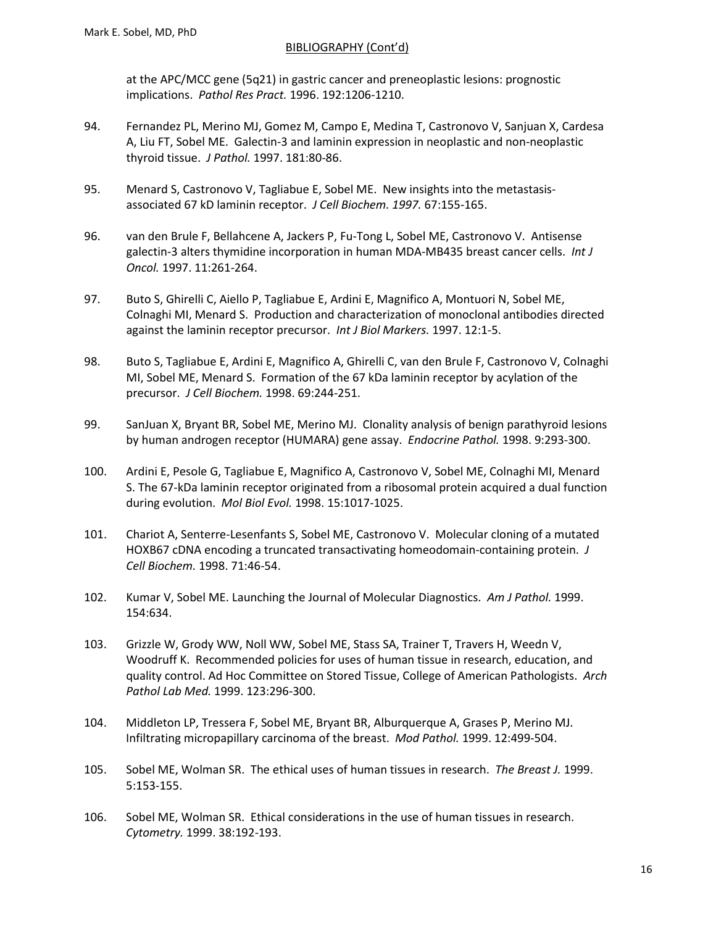at the APC/MCC gene (5q21) in gastric cancer and preneoplastic lesions: prognostic implications. *Pathol Res Pract.* 1996. 192:1206-1210.

- 94. Fernandez PL, Merino MJ, Gomez M, Campo E, Medina T, Castronovo V, Sanjuan X, Cardesa A, Liu FT, Sobel ME. Galectin-3 and laminin expression in neoplastic and non-neoplastic thyroid tissue. *J Pathol.* 1997. 181:80-86.
- 95. Menard S, Castronovo V, Tagliabue E, Sobel ME. New insights into the metastasisassociated 67 kD laminin receptor. *J Cell Biochem. 1997.* 67:155-165.
- 96. van den Brule F, Bellahcene A, Jackers P, Fu-Tong L, Sobel ME, Castronovo V. Antisense galectin-3 alters thymidine incorporation in human MDA-MB435 breast cancer cells. *Int J Oncol.* 1997. 11:261-264.
- 97. Buto S, Ghirelli C, Aiello P, Tagliabue E, Ardini E, Magnifico A, Montuori N, Sobel ME, Colnaghi MI, Menard S. Production and characterization of monoclonal antibodies directed against the laminin receptor precursor. *Int J Biol Markers.* 1997. 12:1-5.
- 98. Buto S, Tagliabue E, Ardini E, Magnifico A, Ghirelli C, van den Brule F, Castronovo V, Colnaghi MI, Sobel ME, Menard S. Formation of the 67 kDa laminin receptor by acylation of the precursor. *J Cell Biochem.* 1998. 69:244-251.
- 99. SanJuan X, Bryant BR, Sobel ME, Merino MJ. Clonality analysis of benign parathyroid lesions by human androgen receptor (HUMARA) gene assay. *Endocrine Pathol.* 1998. 9:293-300.
- 100. Ardini E, Pesole G, Tagliabue E, Magnifico A, Castronovo V, Sobel ME, Colnaghi MI, Menard S. The 67-kDa laminin receptor originated from a ribosomal protein acquired a dual function during evolution. *Mol Biol Evol.* 1998. 15:1017-1025.
- 101. Chariot A, Senterre-Lesenfants S, Sobel ME, Castronovo V. Molecular cloning of a mutated HOXB67 cDNA encoding a truncated transactivating homeodomain-containing protein. *J Cell Biochem.* 1998. 71:46-54.
- 102. Kumar V, Sobel ME. Launching the Journal of Molecular Diagnostics. *Am J Pathol.* 1999. 154:634.
- 103. Grizzle W, Grody WW, Noll WW, Sobel ME, Stass SA, Trainer T, Travers H, Weedn V, Woodruff K. Recommended policies for uses of human tissue in research, education, and quality control. Ad Hoc Committee on Stored Tissue, College of American Pathologists. *Arch Pathol Lab Med.* 1999. 123:296-300.
- 104. Middleton LP, Tressera F, Sobel ME, Bryant BR, Alburquerque A, Grases P, Merino MJ. Infiltrating micropapillary carcinoma of the breast. *Mod Pathol.* 1999. 12:499-504.
- 105. Sobel ME, Wolman SR. The ethical uses of human tissues in research. *The Breast J.* 1999. 5:153-155.
- 106. Sobel ME, Wolman SR. Ethical considerations in the use of human tissues in research. *Cytometry.* 1999. 38:192-193.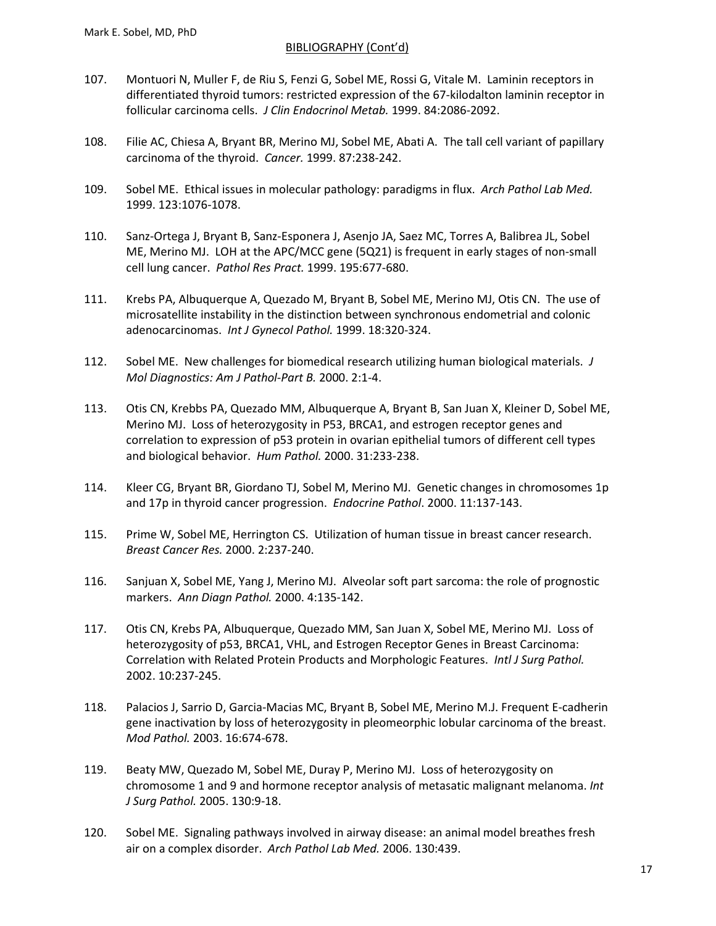- 107. Montuori N, Muller F, de Riu S, Fenzi G, Sobel ME, Rossi G, Vitale M. Laminin receptors in differentiated thyroid tumors: restricted expression of the 67-kilodalton laminin receptor in follicular carcinoma cells. *J Clin Endocrinol Metab.* 1999. 84:2086-2092.
- 108. Filie AC, Chiesa A, Bryant BR, Merino MJ, Sobel ME, Abati A. The tall cell variant of papillary carcinoma of the thyroid. *Cancer.* 1999. 87:238-242.
- 109. Sobel ME. Ethical issues in molecular pathology: paradigms in flux. *Arch Pathol Lab Med.* 1999. 123:1076-1078.
- 110. Sanz-Ortega J, Bryant B, Sanz-Esponera J, Asenjo JA, Saez MC, Torres A, Balibrea JL, Sobel ME, Merino MJ. LOH at the APC/MCC gene (5Q21) is frequent in early stages of non-small cell lung cancer. *Pathol Res Pract.* 1999. 195:677-680.
- 111. Krebs PA, Albuquerque A, Quezado M, Bryant B, Sobel ME, Merino MJ, Otis CN. The use of microsatellite instability in the distinction between synchronous endometrial and colonic adenocarcinomas. *Int J Gynecol Pathol.* 1999. 18:320-324.
- 112. Sobel ME. New challenges for biomedical research utilizing human biological materials. *J Mol Diagnostics: Am J Pathol-Part B.* 2000. 2:1-4.
- 113. Otis CN, Krebbs PA, Quezado MM, Albuquerque A, Bryant B, San Juan X, Kleiner D, Sobel ME, Merino MJ. Loss of heterozygosity in P53, BRCA1, and estrogen receptor genes and correlation to expression of p53 protein in ovarian epithelial tumors of different cell types and biological behavior. *Hum Pathol.* 2000. 31:233-238.
- 114. Kleer CG, Bryant BR, Giordano TJ, Sobel M, Merino MJ. Genetic changes in chromosomes 1p and 17p in thyroid cancer progression. *Endocrine Pathol*. 2000. 11:137-143.
- 115. Prime W, Sobel ME, Herrington CS. Utilization of human tissue in breast cancer research. *Breast Cancer Res.* 2000. 2:237-240.
- 116. Sanjuan X, Sobel ME, Yang J, Merino MJ. Alveolar soft part sarcoma: the role of prognostic markers. *Ann Diagn Pathol.* 2000. 4:135-142.
- 117. Otis CN, Krebs PA, Albuquerque, Quezado MM, San Juan X, Sobel ME, Merino MJ. Loss of heterozygosity of p53, BRCA1, VHL, and Estrogen Receptor Genes in Breast Carcinoma: Correlation with Related Protein Products and Morphologic Features. *Intl J Surg Pathol.* 2002. 10:237-245.
- 118. Palacios J, Sarrio D, Garcia-Macias MC, Bryant B, Sobel ME, Merino M.J. Frequent E-cadherin gene inactivation by loss of heterozygosity in pleomeorphic lobular carcinoma of the breast. *Mod Pathol.* 2003. 16:674-678.
- 119. Beaty MW, Quezado M, Sobel ME, Duray P, Merino MJ. Loss of heterozygosity on chromosome 1 and 9 and hormone receptor analysis of metasatic malignant melanoma. *Int J Surg Pathol.* 2005. 130:9-18.
- 120. Sobel ME. Signaling pathways involved in airway disease: an animal model breathes fresh air on a complex disorder. *Arch Pathol Lab Med.* 2006. 130:439.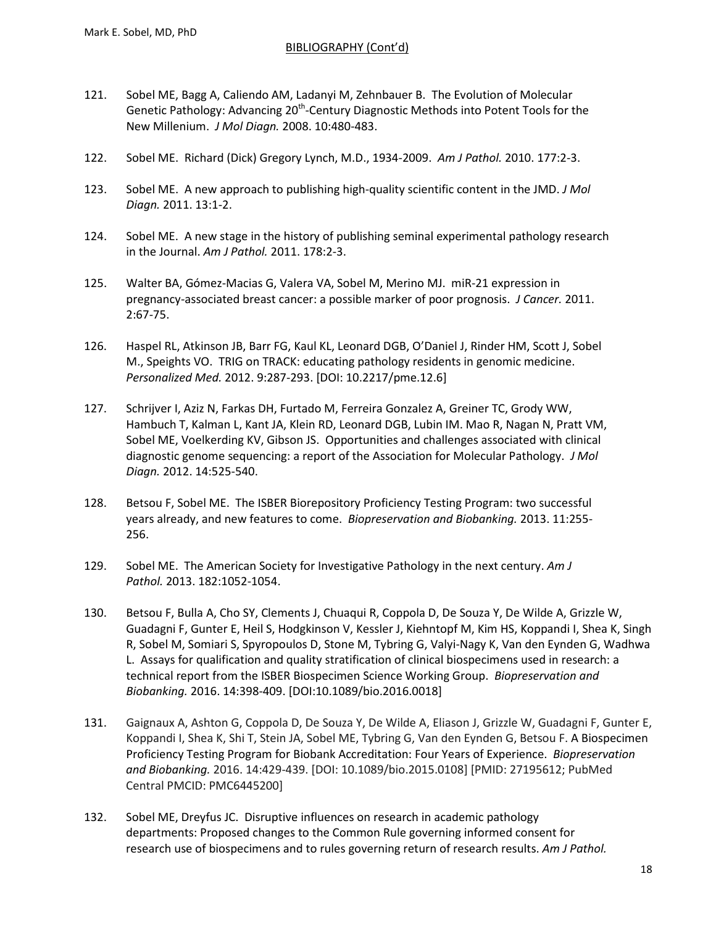- 121. Sobel ME, Bagg A, Caliendo AM, Ladanyi M, Zehnbauer B. The Evolution of Molecular Genetic Pathology: Advancing 20<sup>th</sup>-Century Diagnostic Methods into Potent Tools for the New Millenium. *J Mol Diagn.* 2008. 10:480-483.
- 122. Sobel ME. Richard (Dick) Gregory Lynch, M.D., 1934-2009. *Am J Pathol.* 2010. 177:2-3.
- 123. Sobel ME. A new approach to publishing high-quality scientific content in the JMD. *J Mol Diagn.* 2011. 13:1-2.
- 124. Sobel ME. A new stage in the history of publishing seminal experimental pathology research in the Journal. *Am J Pathol.* 2011. 178:2-3.
- 125. Walter BA, Gómez-Macias G, Valera VA, Sobel M, Merino MJ. miR-21 expression in pregnancy-associated breast cancer: a possible marker of poor prognosis. *J Cancer.* 2011. 2:67-75.
- 126. Haspel RL, Atkinson JB, Barr FG, Kaul KL, Leonard DGB, O'Daniel J, Rinder HM, Scott J, Sobel M., Speights VO. TRIG on TRACK: educating pathology residents in genomic medicine. *Personalized Med.* 2012. 9:287-293. [DOI: 10.2217/pme.12.6]
- 127. Schrijver I, Aziz N, Farkas DH, Furtado M, Ferreira Gonzalez A, Greiner TC, Grody WW, Hambuch T, Kalman L, Kant JA, Klein RD, Leonard DGB, Lubin IM. Mao R, Nagan N, Pratt VM, Sobel ME, Voelkerding KV, Gibson JS. Opportunities and challenges associated with clinical diagnostic genome sequencing: a report of the Association for Molecular Pathology. *J Mol Diagn.* 2012. 14:525-540.
- 128. Betsou F, Sobel ME. The ISBER Biorepository Proficiency Testing Program: two successful years already, and new features to come. *Biopreservation and Biobanking.* 2013. 11:255- 256.
- 129. Sobel ME. The American Society for Investigative Pathology in the next century. *Am J Pathol.* 2013. 182:1052-1054.
- 130. Betsou F, Bulla A, Cho SY, Clements J, Chuaqui R, Coppola D, De Souza Y, De Wilde A, Grizzle W, Guadagni F, Gunter E, Heil S, Hodgkinson V, Kessler J, Kiehntopf M, Kim HS, Koppandi I, Shea K, Singh R, Sobel M, Somiari S, Spyropoulos D, Stone M, Tybring G, Valyi-Nagy K, Van den Eynden G, Wadhwa L. Assays for qualification and quality stratification of clinical biospecimens used in research: a technical report from the ISBER Biospecimen Science Working Group. *Biopreservation and Biobanking.* 2016. 14:398-409. [DOI:10.1089/bio.2016.0018]
- 131. Gaignaux A, Ashton G, Coppola D, De Souza Y, De Wilde A, Eliason J, Grizzle W, Guadagni F, Gunter E, Koppandi I, Shea K, Shi T, Stein JA, Sobel ME, Tybring G, Van den Eynden G, Betsou F. [A Biospecimen](https://www.ncbi.nlm.nih.gov/pubmed/27195612/)  [Proficiency Testing Program for Biobank Accreditation: Four Years of Experience.](https://www.ncbi.nlm.nih.gov/pubmed/27195612/) *Biopreservation and Biobanking.* 2016. 14:429-439. [DOI: 10.1089/bio.2015.0108] [PMID: 27195612; PubMed Central PMCID: PMC6445200]
- 132. Sobel ME, Dreyfus JC. Disruptive influences on research in academic pathology departments: Proposed changes to the Common Rule governing informed consent for research use of biospecimens and to rules governing return of research results. *Am J Pathol.*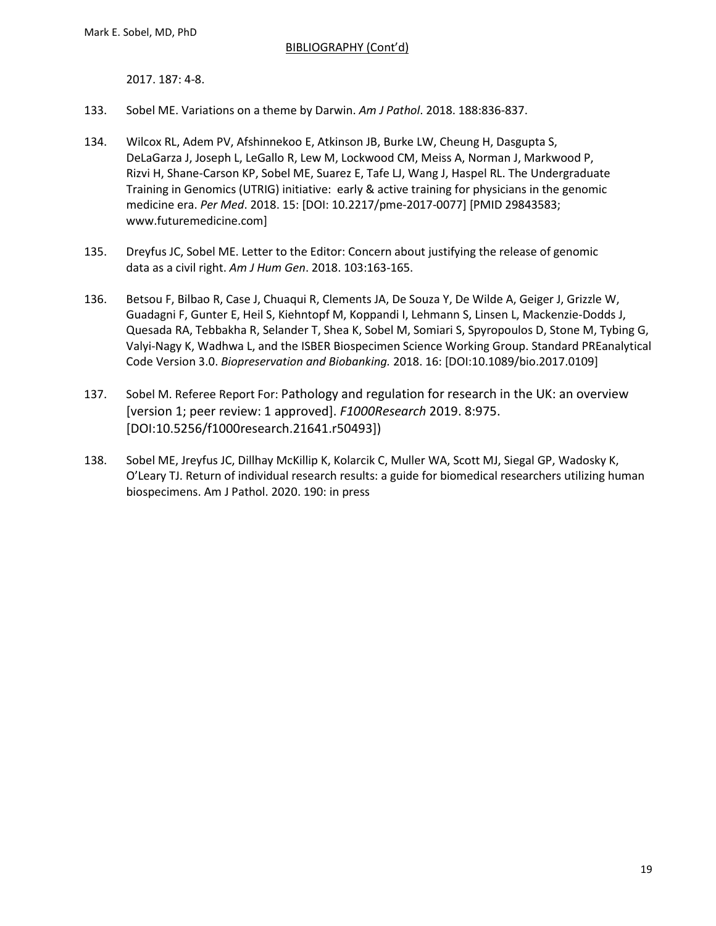2017. 187: 4-8.

- 133. Sobel ME. Variations on a theme by Darwin. *Am J Pathol*. 2018. 188:836-837.
- 134. Wilcox RL, Adem PV, Afshinnekoo E, Atkinson JB, Burke LW, Cheung H, Dasgupta S, DeLaGarza J, Joseph L, LeGallo R, Lew M, Lockwood CM, Meiss A, Norman J, Markwood P, Rizvi H, Shane-Carson KP, Sobel ME, Suarez E, Tafe LJ, Wang J, Haspel RL. The Undergraduate Training in Genomics (UTRIG) initiative: early & active training for physicians in the genomic medicine era. *Per Med*. 2018. 15: [DOI: 10.2217/pme-2017-0077] [PMID 29843583; www.futuremedicine.com]
- 135. Dreyfus JC, Sobel ME. Letter to the Editor: Concern about justifying the release of genomic data as a civil right. *Am J Hum Gen*. 2018. 103:163-165.
- 136. Betsou F, Bilbao R, Case J, Chuaqui R, Clements JA, De Souza Y, De Wilde A, Geiger J, Grizzle W, Guadagni F, Gunter E, Heil S, Kiehntopf M, Koppandi I, Lehmann S, Linsen L, Mackenzie-Dodds J, Quesada RA, Tebbakha R, Selander T, Shea K, Sobel M, Somiari S, Spyropoulos D, Stone M, Tybing G, Valyi-Nagy K, Wadhwa L, and the ISBER Biospecimen Science Working Group. Standard PREanalytical Code Version 3.0. *Biopreservation and Biobanking.* 2018. 16: [DOI:10.1089/bio.2017.0109]
- 137. Sobel M. Referee Report For: Pathology and regulation for research in the UK: an overview [version 1; peer review: 1 approved]. *F1000Research* 2019. 8:975. [\[DOI:10.5256/f1000research.21641.r50493\]\)](https://doi.org/10.5256/f1000research.21641.r50493)
- 138. Sobel ME, Jreyfus JC, Dillhay McKillip K, Kolarcik C, Muller WA, Scott MJ, Siegal GP, Wadosky K, O'Leary TJ. Return of individual research results: a guide for biomedical researchers utilizing human biospecimens. Am J Pathol. 2020. 190: in press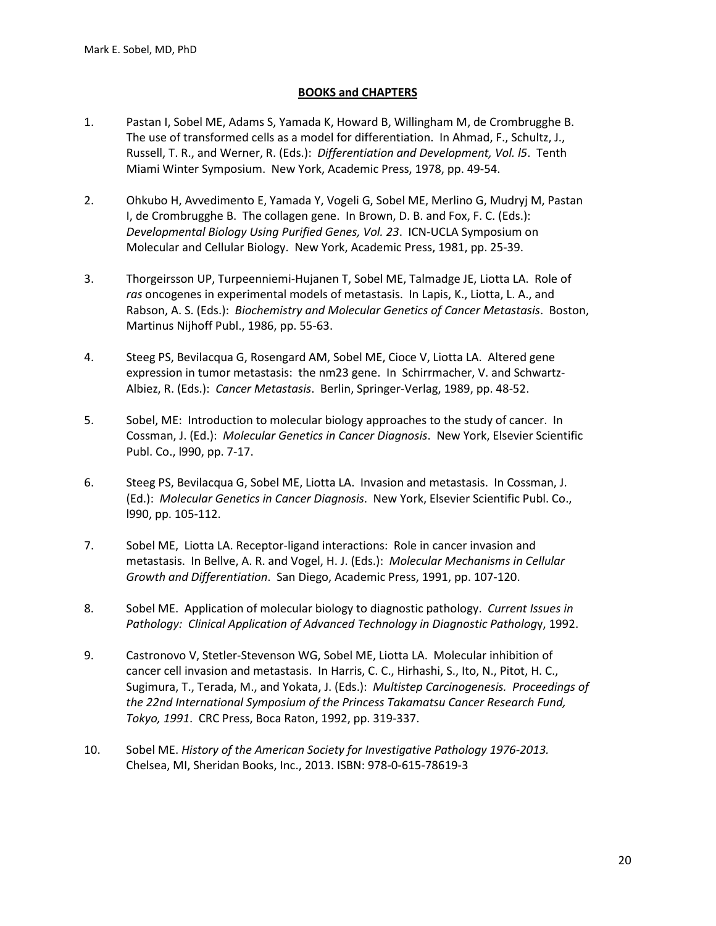## **BOOKS and CHAPTERS**

- 1. Pastan I, Sobel ME, Adams S, Yamada K, Howard B, Willingham M, de Crombrugghe B. The use of transformed cells as a model for differentiation. In Ahmad, F., Schultz, J., Russell, T. R., and Werner, R. (Eds.): *Differentiation and Development, Vol. l5*. Tenth Miami Winter Symposium. New York, Academic Press, 1978, pp. 49-54.
- 2. Ohkubo H, Avvedimento E, Yamada Y, Vogeli G, Sobel ME, Merlino G, Mudryj M, Pastan I, de Crombrugghe B. The collagen gene. In Brown, D. B. and Fox, F. C. (Eds.): *Developmental Biology Using Purified Genes, Vol. 23*. ICN-UCLA Symposium on Molecular and Cellular Biology. New York, Academic Press, 1981, pp. 25-39.
- 3. Thorgeirsson UP, Turpeenniemi-Hujanen T, Sobel ME, Talmadge JE, Liotta LA. Role of *ras* oncogenes in experimental models of metastasis. In Lapis, K., Liotta, L. A., and Rabson, A. S. (Eds.): *Biochemistry and Molecular Genetics of Cancer Metastasis*. Boston, Martinus Nijhoff Publ., 1986, pp. 55-63.
- 4. Steeg PS, Bevilacqua G, Rosengard AM, Sobel ME, Cioce V, Liotta LA. Altered gene expression in tumor metastasis: the nm23 gene. In Schirrmacher, V. and Schwartz-Albiez, R. (Eds.): *Cancer Metastasis*. Berlin, Springer-Verlag, 1989, pp. 48-52.
- 5. Sobel, ME: Introduction to molecular biology approaches to the study of cancer. In Cossman, J. (Ed.): *Molecular Genetics in Cancer Diagnosis*. New York, Elsevier Scientific Publ. Co., l990, pp. 7-17.
- 6. Steeg PS, Bevilacqua G, Sobel ME, Liotta LA. Invasion and metastasis. In Cossman, J. (Ed.): *Molecular Genetics in Cancer Diagnosis*. New York, Elsevier Scientific Publ. Co., l990, pp. 105-112.
- 7. Sobel ME, Liotta LA. Receptor-ligand interactions: Role in cancer invasion and metastasis. In Bellve, A. R. and Vogel, H. J. (Eds.): *Molecular Mechanisms in Cellular Growth and Differentiation*. San Diego, Academic Press, 1991, pp. 107-120.
- 8. Sobel ME. Application of molecular biology to diagnostic pathology. *Current Issues in Pathology: Clinical Application of Advanced Technology in Diagnostic Patholog*y, 1992.
- 9. Castronovo V, Stetler-Stevenson WG, Sobel ME, Liotta LA. Molecular inhibition of cancer cell invasion and metastasis. In Harris, C. C., Hirhashi, S., Ito, N., Pitot, H. C., Sugimura, T., Terada, M., and Yokata, J. (Eds.): *Multistep Carcinogenesis. Proceedings of the 22nd International Symposium of the Princess Takamatsu Cancer Research Fund, Tokyo, 1991*. CRC Press, Boca Raton, 1992, pp. 319-337.
- 10. Sobel ME. *History of the American Society for Investigative Pathology 1976-2013.*  Chelsea, MI, Sheridan Books, Inc., 2013. ISBN: 978-0-615-78619-3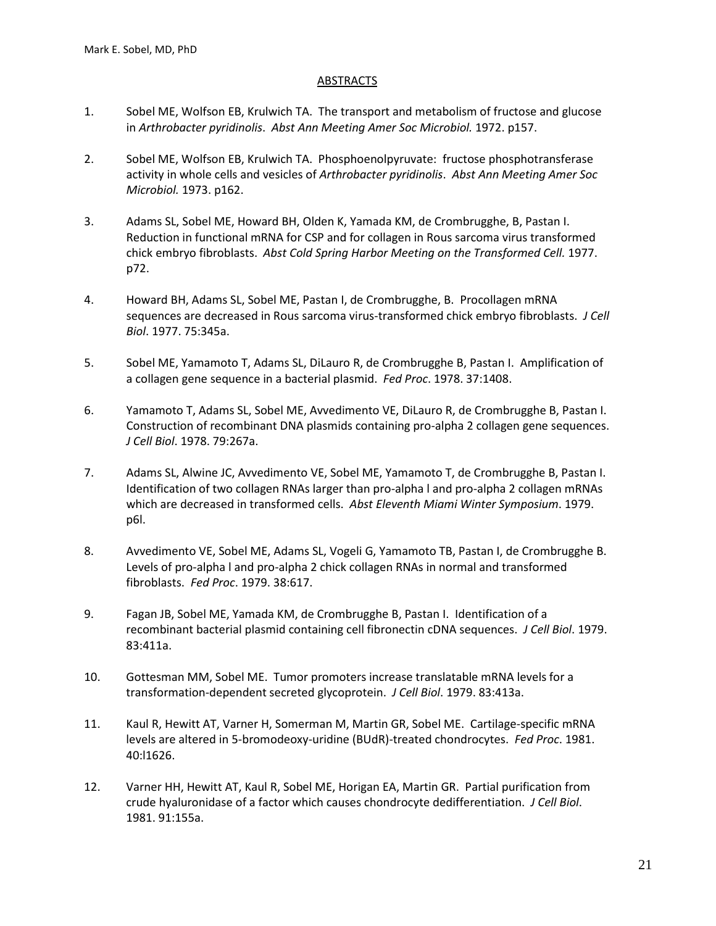## **ABSTRACTS**

- 1. Sobel ME, Wolfson EB, Krulwich TA. The transport and metabolism of fructose and glucose in *Arthrobacter pyridinolis*. *Abst Ann Meeting Amer Soc Microbiol.* 1972. p157.
- 2. Sobel ME, Wolfson EB, Krulwich TA. Phosphoenolpyruvate: fructose phosphotransferase activity in whole cells and vesicles of *Arthrobacter pyridinolis*. *Abst Ann Meeting Amer Soc Microbiol.* 1973. p162.
- 3. Adams SL, Sobel ME, Howard BH, Olden K, Yamada KM, de Crombrugghe, B, Pastan I. Reduction in functional mRNA for CSP and for collagen in Rous sarcoma virus transformed chick embryo fibroblasts. *Abst Cold Spring Harbor Meeting on the Transformed Cell.* 1977. p72.
- 4. Howard BH, Adams SL, Sobel ME, Pastan I, de Crombrugghe, B. Procollagen mRNA sequences are decreased in Rous sarcoma virus-transformed chick embryo fibroblasts. *J Cell Biol*. 1977. 75:345a.
- 5. Sobel ME, Yamamoto T, Adams SL, DiLauro R, de Crombrugghe B, Pastan I. Amplification of a collagen gene sequence in a bacterial plasmid. *Fed Proc*. 1978. 37:1408.
- 6. Yamamoto T, Adams SL, Sobel ME, Avvedimento VE, DiLauro R, de Crombrugghe B, Pastan I. Construction of recombinant DNA plasmids containing pro-alpha 2 collagen gene sequences. *J Cell Biol*. 1978. 79:267a.
- 7. Adams SL, Alwine JC, Avvedimento VE, Sobel ME, Yamamoto T, de Crombrugghe B, Pastan I. Identification of two collagen RNAs larger than pro-alpha l and pro-alpha 2 collagen mRNAs which are decreased in transformed cells. *Abst Eleventh Miami Winter Symposium*. 1979. p6l.
- 8. Avvedimento VE, Sobel ME, Adams SL, Vogeli G, Yamamoto TB, Pastan I, de Crombrugghe B. Levels of pro-alpha l and pro-alpha 2 chick collagen RNAs in normal and transformed fibroblasts. *Fed Proc*. 1979. 38:617.
- 9. Fagan JB, Sobel ME, Yamada KM, de Crombrugghe B, Pastan I. Identification of a recombinant bacterial plasmid containing cell fibronectin cDNA sequences. *J Cell Biol*. 1979. 83:411a.
- 10. Gottesman MM, Sobel ME. Tumor promoters increase translatable mRNA levels for a transformation-dependent secreted glycoprotein. *J Cell Biol*. 1979. 83:413a.
- 11. Kaul R, Hewitt AT, Varner H, Somerman M, Martin GR, Sobel ME. Cartilage-specific mRNA levels are altered in 5-bromodeoxy-uridine (BUdR)-treated chondrocytes. *Fed Proc*. 1981. 40:l1626.
- 12. Varner HH, Hewitt AT, Kaul R, Sobel ME, Horigan EA, Martin GR. Partial purification from crude hyaluronidase of a factor which causes chondrocyte dedifferentiation. *J Cell Biol*. 1981. 91:155a.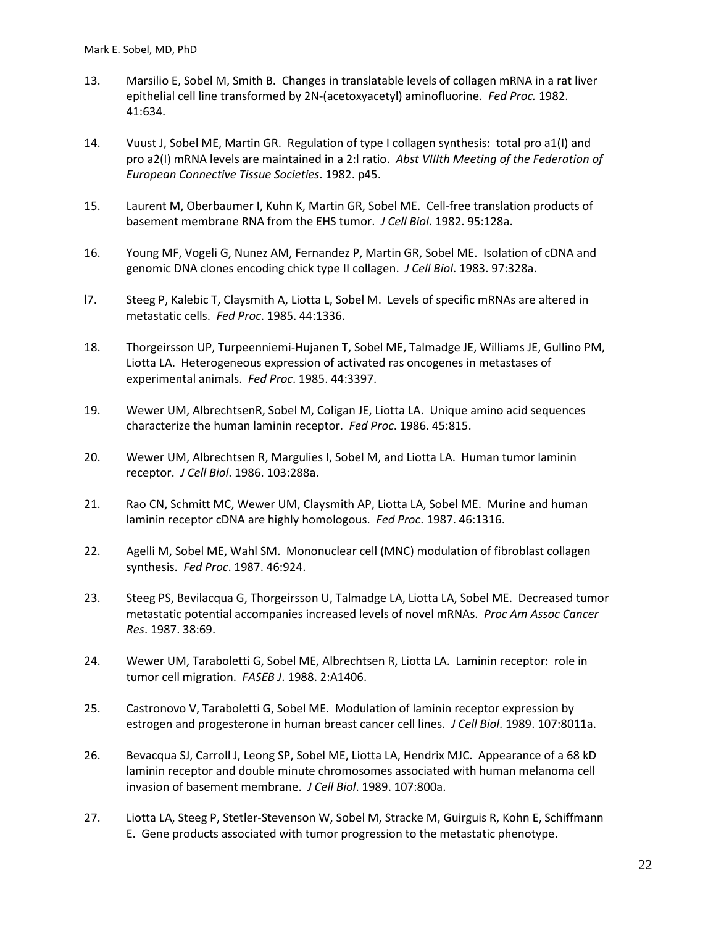- 13. Marsilio E, Sobel M, Smith B. Changes in translatable levels of collagen mRNA in a rat liver epithelial cell line transformed by 2N-(acetoxyacetyl) aminofluorine. *Fed Proc.* 1982. 41:634.
- 14. Vuust J, Sobel ME, Martin GR. Regulation of type I collagen synthesis: total pro a1(I) and pro a2(I) mRNA levels are maintained in a 2:l ratio. *Abst VIIIth Meeting of the Federation of European Connective Tissue Societies*. 1982. p45.
- 15. Laurent M, Oberbaumer I, Kuhn K, Martin GR, Sobel ME. Cell-free translation products of basement membrane RNA from the EHS tumor. *J Cell Biol*. 1982. 95:128a.
- 16. Young MF, Vogeli G, Nunez AM, Fernandez P, Martin GR, Sobel ME. Isolation of cDNA and genomic DNA clones encoding chick type II collagen. *J Cell Biol*. 1983. 97:328a.
- l7. Steeg P, Kalebic T, Claysmith A, Liotta L, Sobel M. Levels of specific mRNAs are altered in metastatic cells. *Fed Proc*. 1985. 44:1336.
- 18. Thorgeirsson UP, Turpeenniemi-Hujanen T, Sobel ME, Talmadge JE, Williams JE, Gullino PM, Liotta LA. Heterogeneous expression of activated ras oncogenes in metastases of experimental animals. *Fed Proc*. 1985. 44:3397.
- 19. Wewer UM, AlbrechtsenR, Sobel M, Coligan JE, Liotta LA. Unique amino acid sequences characterize the human laminin receptor. *Fed Proc*. 1986. 45:815.
- 20. Wewer UM, Albrechtsen R, Margulies I, Sobel M, and Liotta LA. Human tumor laminin receptor. *J Cell Biol*. 1986. 103:288a.
- 21. Rao CN, Schmitt MC, Wewer UM, Claysmith AP, Liotta LA, Sobel ME. Murine and human laminin receptor cDNA are highly homologous. *Fed Proc*. 1987. 46:1316.
- 22. Agelli M, Sobel ME, Wahl SM. Mononuclear cell (MNC) modulation of fibroblast collagen synthesis. *Fed Proc*. 1987. 46:924.
- 23. Steeg PS, Bevilacqua G, Thorgeirsson U, Talmadge LA, Liotta LA, Sobel ME. Decreased tumor metastatic potential accompanies increased levels of novel mRNAs. *Proc Am Assoc Cancer Res*. 1987. 38:69.
- 24. Wewer UM, Taraboletti G, Sobel ME, Albrechtsen R, Liotta LA. Laminin receptor: role in tumor cell migration. *FASEB J*. 1988. 2:A1406.
- 25. Castronovo V, Taraboletti G, Sobel ME. Modulation of laminin receptor expression by estrogen and progesterone in human breast cancer cell lines. *J Cell Biol*. 1989. 107:8011a.
- 26. Bevacqua SJ, Carroll J, Leong SP, Sobel ME, Liotta LA, Hendrix MJC. Appearance of a 68 kD laminin receptor and double minute chromosomes associated with human melanoma cell invasion of basement membrane. *J Cell Biol*. 1989. 107:800a.
- 27. Liotta LA, Steeg P, Stetler-Stevenson W, Sobel M, Stracke M, Guirguis R, Kohn E, Schiffmann E. Gene products associated with tumor progression to the metastatic phenotype.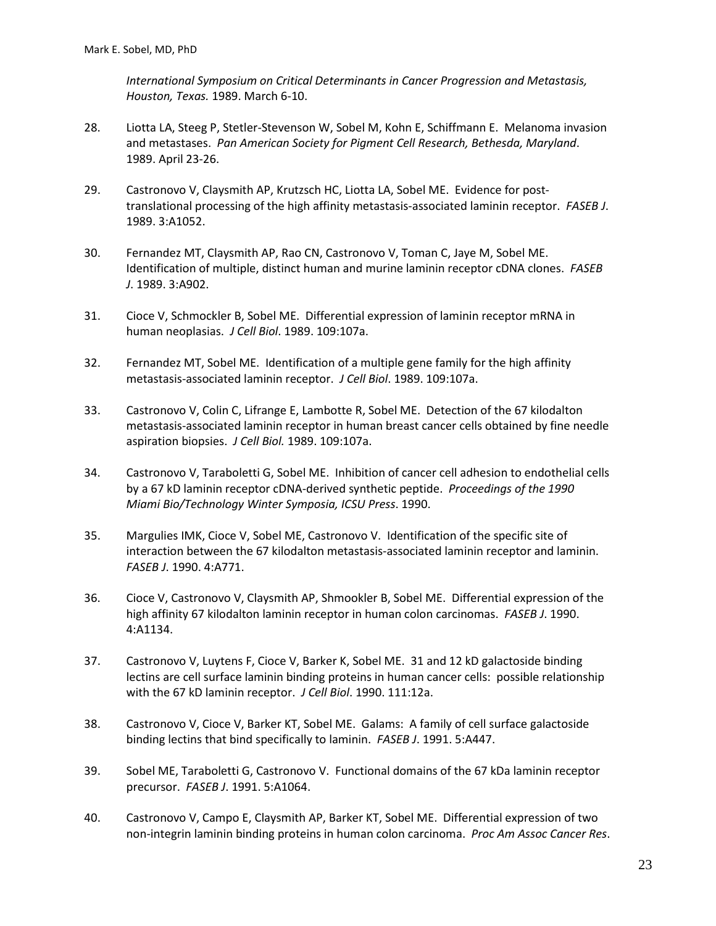*International Symposium on Critical Determinants in Cancer Progression and Metastasis, Houston, Texas.* 1989. March 6-10.

- 28. Liotta LA, Steeg P, Stetler-Stevenson W, Sobel M, Kohn E, Schiffmann E. Melanoma invasion and metastases. *Pan American Society for Pigment Cell Research, Bethesda, Maryland*. 1989. April 23-26.
- 29. Castronovo V, Claysmith AP, Krutzsch HC, Liotta LA, Sobel ME. Evidence for posttranslational processing of the high affinity metastasis-associated laminin receptor. *FASEB J*. 1989. 3:A1052.
- 30. Fernandez MT, Claysmith AP, Rao CN, Castronovo V, Toman C, Jaye M, Sobel ME. Identification of multiple, distinct human and murine laminin receptor cDNA clones. *FASEB J*. 1989. 3:A902.
- 31. Cioce V, Schmockler B, Sobel ME. Differential expression of laminin receptor mRNA in human neoplasias. *J Cell Biol*. 1989. 109:107a.
- 32. Fernandez MT, Sobel ME. Identification of a multiple gene family for the high affinity metastasis-associated laminin receptor. *J Cell Biol*. 1989. 109:107a.
- 33. Castronovo V, Colin C, Lifrange E, Lambotte R, Sobel ME. Detection of the 67 kilodalton metastasis-associated laminin receptor in human breast cancer cells obtained by fine needle aspiration biopsies. *J Cell Biol.* 1989. 109:107a.
- 34. Castronovo V, Taraboletti G, Sobel ME. Inhibition of cancer cell adhesion to endothelial cells by a 67 kD laminin receptor cDNA-derived synthetic peptide. *Proceedings of the 1990 Miami Bio/Technology Winter Symposia, ICSU Press*. 1990.
- 35. Margulies IMK, Cioce V, Sobel ME, Castronovo V. Identification of the specific site of interaction between the 67 kilodalton metastasis-associated laminin receptor and laminin. *FASEB J*. 1990. 4:A771.
- 36. Cioce V, Castronovo V, Claysmith AP, Shmookler B, Sobel ME. Differential expression of the high affinity 67 kilodalton laminin receptor in human colon carcinomas. *FASEB J*. 1990. 4:A1134.
- 37. Castronovo V, Luytens F, Cioce V, Barker K, Sobel ME. 31 and 12 kD galactoside binding lectins are cell surface laminin binding proteins in human cancer cells: possible relationship with the 67 kD laminin receptor. *J Cell Biol*. 1990. 111:12a.
- 38. Castronovo V, Cioce V, Barker KT, Sobel ME. Galams: A family of cell surface galactoside binding lectins that bind specifically to laminin. *FASEB J*. 1991. 5:A447.
- 39. Sobel ME, Taraboletti G, Castronovo V. Functional domains of the 67 kDa laminin receptor precursor. *FASEB J*. 1991. 5:A1064.
- 40. Castronovo V, Campo E, Claysmith AP, Barker KT, Sobel ME. Differential expression of two non-integrin laminin binding proteins in human colon carcinoma. *Proc Am Assoc Cancer Res*.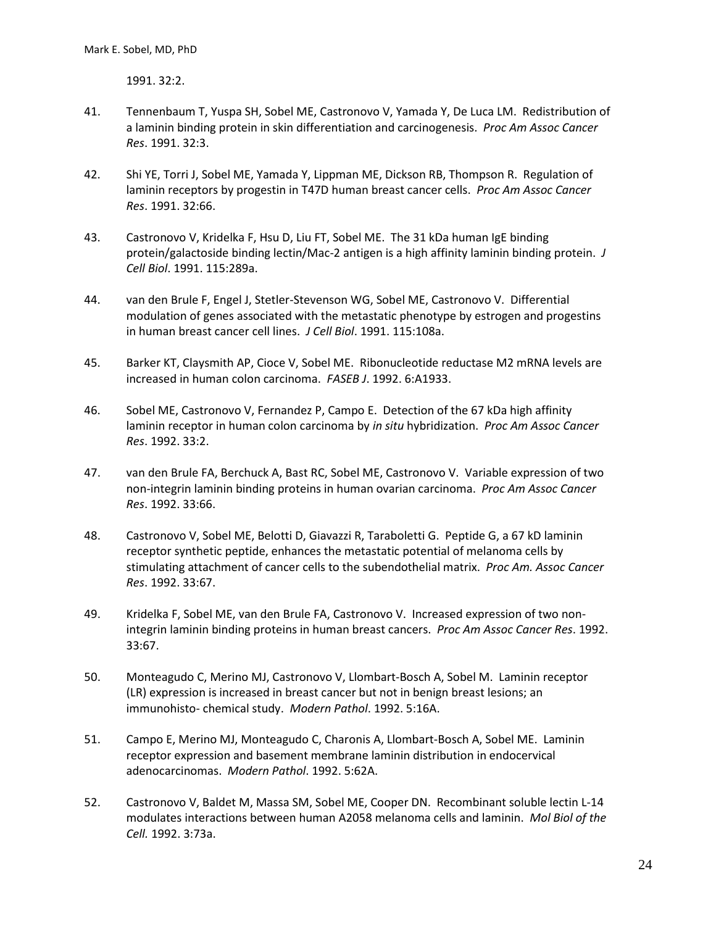1991. 32:2.

- 41. Tennenbaum T, Yuspa SH, Sobel ME, Castronovo V, Yamada Y, De Luca LM. Redistribution of a laminin binding protein in skin differentiation and carcinogenesis. *Proc Am Assoc Cancer Res*. 1991. 32:3.
- 42. Shi YE, Torri J, Sobel ME, Yamada Y, Lippman ME, Dickson RB, Thompson R. Regulation of laminin receptors by progestin in T47D human breast cancer cells. *Proc Am Assoc Cancer Res*. 1991. 32:66.
- 43. Castronovo V, Kridelka F, Hsu D, Liu FT, Sobel ME. The 31 kDa human IgE binding protein/galactoside binding lectin/Mac-2 antigen is a high affinity laminin binding protein. *J Cell Biol*. 1991. 115:289a.
- 44. van den Brule F, Engel J, Stetler-Stevenson WG, Sobel ME, Castronovo V. Differential modulation of genes associated with the metastatic phenotype by estrogen and progestins in human breast cancer cell lines. *J Cell Biol*. 1991. 115:108a.
- 45. Barker KT, Claysmith AP, Cioce V, Sobel ME. Ribonucleotide reductase M2 mRNA levels are increased in human colon carcinoma. *FASEB J*. 1992. 6:A1933.
- 46. Sobel ME, Castronovo V, Fernandez P, Campo E. Detection of the 67 kDa high affinity laminin receptor in human colon carcinoma by *in situ* hybridization. *Proc Am Assoc Cancer Res*. 1992. 33:2.
- 47. van den Brule FA, Berchuck A, Bast RC, Sobel ME, Castronovo V. Variable expression of two non-integrin laminin binding proteins in human ovarian carcinoma. *Proc Am Assoc Cancer Res*. 1992. 33:66.
- 48. Castronovo V, Sobel ME, Belotti D, Giavazzi R, Taraboletti G. Peptide G, a 67 kD laminin receptor synthetic peptide, enhances the metastatic potential of melanoma cells by stimulating attachment of cancer cells to the subendothelial matrix. *Proc Am. Assoc Cancer Res*. 1992. 33:67.
- 49. Kridelka F, Sobel ME, van den Brule FA, Castronovo V. Increased expression of two nonintegrin laminin binding proteins in human breast cancers. *Proc Am Assoc Cancer Res*. 1992. 33:67.
- 50. Monteagudo C, Merino MJ, Castronovo V, Llombart-Bosch A, Sobel M. Laminin receptor (LR) expression is increased in breast cancer but not in benign breast lesions; an immunohisto- chemical study. *Modern Pathol*. 1992. 5:16A.
- 51. Campo E, Merino MJ, Monteagudo C, Charonis A, Llombart-Bosch A, Sobel ME. Laminin receptor expression and basement membrane laminin distribution in endocervical adenocarcinomas. *Modern Pathol*. 1992. 5:62A.
- 52. Castronovo V, Baldet M, Massa SM, Sobel ME, Cooper DN. Recombinant soluble lectin L-14 modulates interactions between human A2058 melanoma cells and laminin. *Mol Biol of the Cell.* 1992. 3:73a.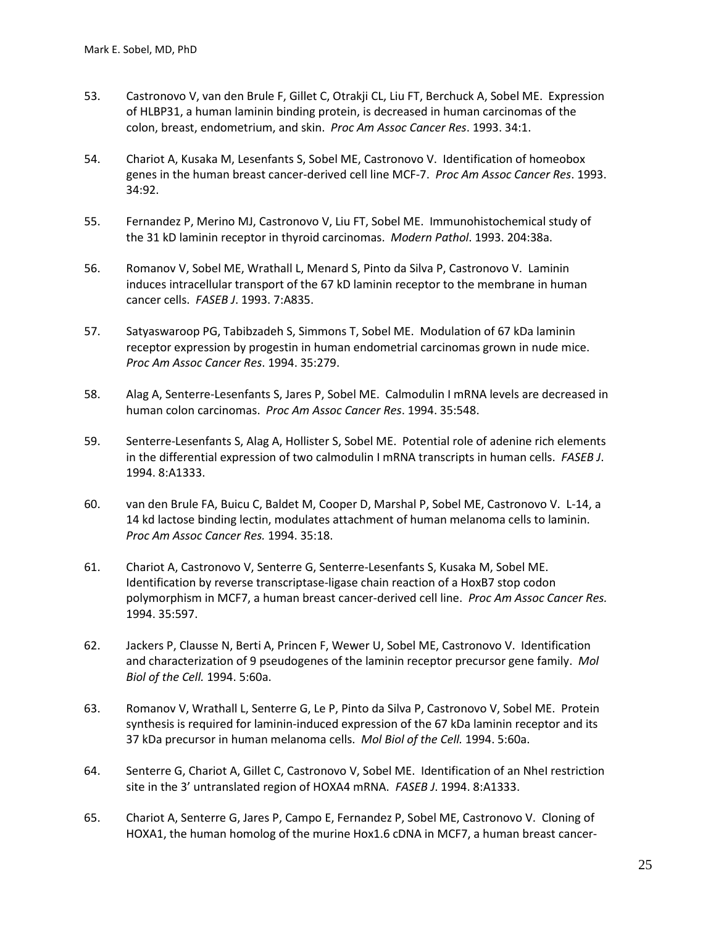- 53. Castronovo V, van den Brule F, Gillet C, Otrakji CL, Liu FT, Berchuck A, Sobel ME. Expression of HLBP31, a human laminin binding protein, is decreased in human carcinomas of the colon, breast, endometrium, and skin. *Proc Am Assoc Cancer Res*. 1993. 34:1.
- 54. Chariot A, Kusaka M, Lesenfants S, Sobel ME, Castronovo V. Identification of homeobox genes in the human breast cancer-derived cell line MCF-7. *Proc Am Assoc Cancer Res*. 1993. 34:92.
- 55. Fernandez P, Merino MJ, Castronovo V, Liu FT, Sobel ME. Immunohistochemical study of the 31 kD laminin receptor in thyroid carcinomas. *Modern Pathol*. 1993. 204:38a.
- 56. Romanov V, Sobel ME, Wrathall L, Menard S, Pinto da Silva P, Castronovo V. Laminin induces intracellular transport of the 67 kD laminin receptor to the membrane in human cancer cells. *FASEB J*. 1993. 7:A835.
- 57. Satyaswaroop PG, Tabibzadeh S, Simmons T, Sobel ME. Modulation of 67 kDa laminin receptor expression by progestin in human endometrial carcinomas grown in nude mice. *Proc Am Assoc Cancer Res*. 1994. 35:279.
- 58. Alag A, Senterre-Lesenfants S, Jares P, Sobel ME. Calmodulin I mRNA levels are decreased in human colon carcinomas. *Proc Am Assoc Cancer Res*. 1994. 35:548.
- 59. Senterre-Lesenfants S, Alag A, Hollister S, Sobel ME. Potential role of adenine rich elements in the differential expression of two calmodulin I mRNA transcripts in human cells. *FASEB J*. 1994. 8:A1333.
- 60. van den Brule FA, Buicu C, Baldet M, Cooper D, Marshal P, Sobel ME, Castronovo V. L-14, a 14 kd lactose binding lectin, modulates attachment of human melanoma cells to laminin. *Proc Am Assoc Cancer Res.* 1994. 35:18.
- 61. Chariot A, Castronovo V, Senterre G, Senterre-Lesenfants S, Kusaka M, Sobel ME. Identification by reverse transcriptase-ligase chain reaction of a HoxB7 stop codon polymorphism in MCF7, a human breast cancer-derived cell line. *Proc Am Assoc Cancer Res.* 1994. 35:597.
- 62. Jackers P, Clausse N, Berti A, Princen F, Wewer U, Sobel ME, Castronovo V. Identification and characterization of 9 pseudogenes of the laminin receptor precursor gene family. *Mol Biol of the Cell.* 1994. 5:60a.
- 63. Romanov V, Wrathall L, Senterre G, Le P, Pinto da Silva P, Castronovo V, Sobel ME. Protein synthesis is required for laminin-induced expression of the 67 kDa laminin receptor and its 37 kDa precursor in human melanoma cells. *Mol Biol of the Cell.* 1994. 5:60a.
- 64. Senterre G, Chariot A, Gillet C, Castronovo V, Sobel ME. Identification of an NheI restriction site in the 3' untranslated region of HOXA4 mRNA. *FASEB J*. 1994. 8:A1333.
- 65. Chariot A, Senterre G, Jares P, Campo E, Fernandez P, Sobel ME, Castronovo V. Cloning of HOXA1, the human homolog of the murine Hox1.6 cDNA in MCF7, a human breast cancer-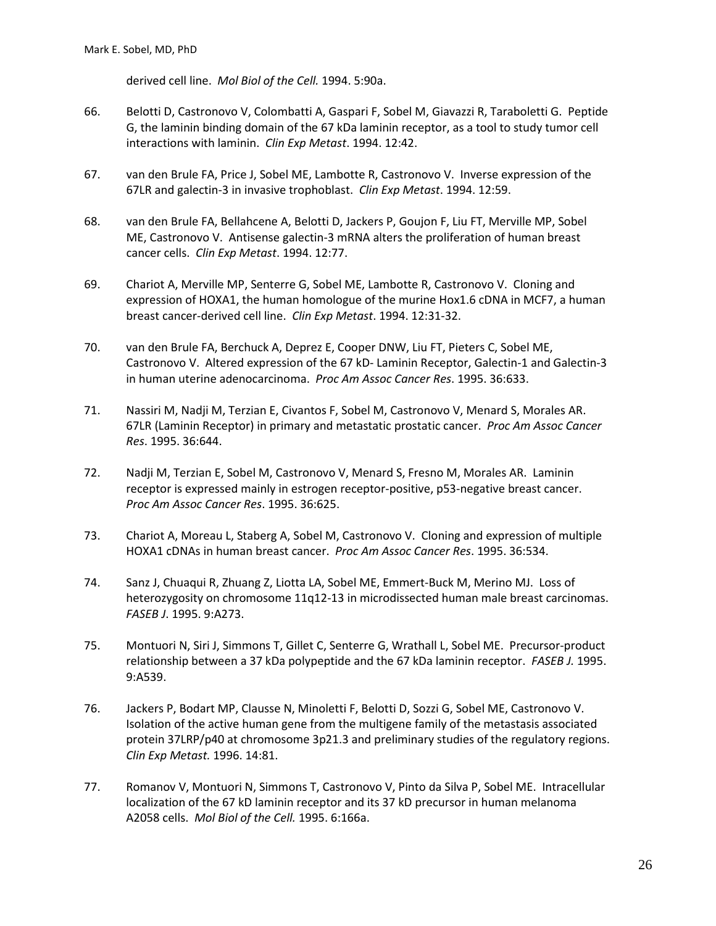derived cell line. *Mol Biol of the Cell.* 1994. 5:90a.

- 66. Belotti D, Castronovo V, Colombatti A, Gaspari F, Sobel M, Giavazzi R, Taraboletti G. Peptide G, the laminin binding domain of the 67 kDa laminin receptor, as a tool to study tumor cell interactions with laminin. *Clin Exp Metast*. 1994. 12:42.
- 67. van den Brule FA, Price J, Sobel ME, Lambotte R, Castronovo V. Inverse expression of the 67LR and galectin-3 in invasive trophoblast. *Clin Exp Metast*. 1994. 12:59.
- 68. van den Brule FA, Bellahcene A, Belotti D, Jackers P, Goujon F, Liu FT, Merville MP, Sobel ME, Castronovo V. Antisense galectin-3 mRNA alters the proliferation of human breast cancer cells. *Clin Exp Metast*. 1994. 12:77.
- 69. Chariot A, Merville MP, Senterre G, Sobel ME, Lambotte R, Castronovo V. Cloning and expression of HOXA1, the human homologue of the murine Hox1.6 cDNA in MCF7, a human breast cancer-derived cell line. *Clin Exp Metast*. 1994. 12:31-32.
- 70. van den Brule FA, Berchuck A, Deprez E, Cooper DNW, Liu FT, Pieters C, Sobel ME, Castronovo V. Altered expression of the 67 kD- Laminin Receptor, Galectin-1 and Galectin-3 in human uterine adenocarcinoma. *Proc Am Assoc Cancer Res*. 1995. 36:633.
- 71. Nassiri M, Nadji M, Terzian E, Civantos F, Sobel M, Castronovo V, Menard S, Morales AR. 67LR (Laminin Receptor) in primary and metastatic prostatic cancer. *Proc Am Assoc Cancer Res*. 1995. 36:644.
- 72. Nadji M, Terzian E, Sobel M, Castronovo V, Menard S, Fresno M, Morales AR. Laminin receptor is expressed mainly in estrogen receptor-positive, p53-negative breast cancer. *Proc Am Assoc Cancer Res*. 1995. 36:625.
- 73. Chariot A, Moreau L, Staberg A, Sobel M, Castronovo V. Cloning and expression of multiple HOXA1 cDNAs in human breast cancer. *Proc Am Assoc Cancer Res*. 1995. 36:534.
- 74. Sanz J, Chuaqui R, Zhuang Z, Liotta LA, Sobel ME, Emmert-Buck M, Merino MJ. Loss of heterozygosity on chromosome 11q12-13 in microdissected human male breast carcinomas. *FASEB J*. 1995. 9:A273.
- 75. Montuori N, Siri J, Simmons T, Gillet C, Senterre G, Wrathall L, Sobel ME. Precursor-product relationship between a 37 kDa polypeptide and the 67 kDa laminin receptor. *FASEB J.* 1995. 9:A539.
- 76. Jackers P, Bodart MP, Clausse N, Minoletti F, Belotti D, Sozzi G, Sobel ME, Castronovo V. Isolation of the active human gene from the multigene family of the metastasis associated protein 37LRP/p40 at chromosome 3p21.3 and preliminary studies of the regulatory regions. *Clin Exp Metast.* 1996. 14:81.
- 77. Romanov V, Montuori N, Simmons T, Castronovo V, Pinto da Silva P, Sobel ME. Intracellular localization of the 67 kD laminin receptor and its 37 kD precursor in human melanoma A2058 cells. *Mol Biol of the Cell.* 1995. 6:166a.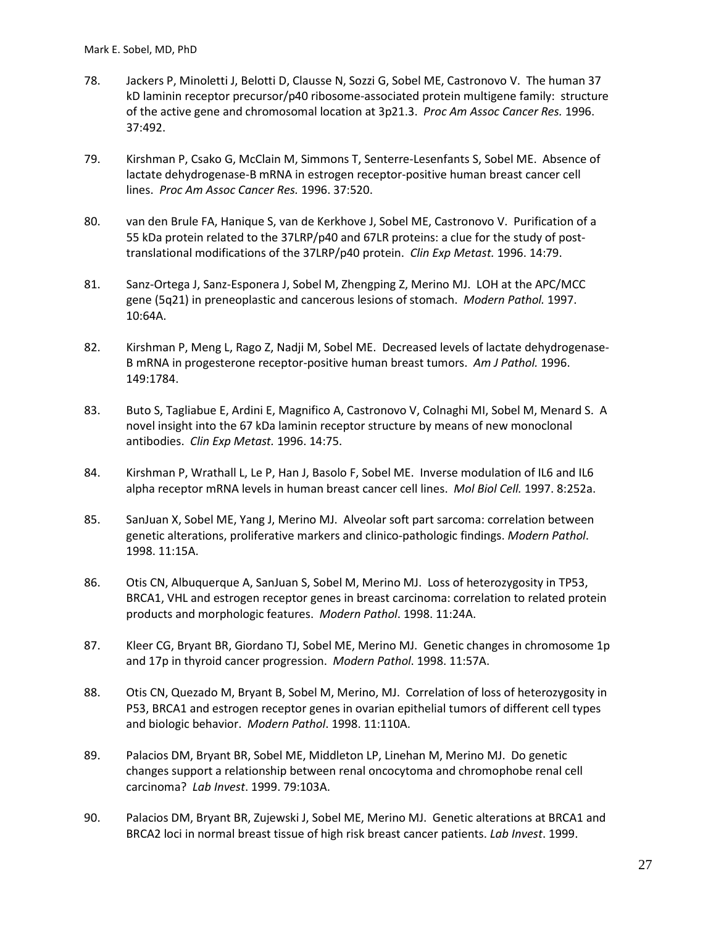- 78. Jackers P, Minoletti J, Belotti D, Clausse N, Sozzi G, Sobel ME, Castronovo V. The human 37 kD laminin receptor precursor/p40 ribosome-associated protein multigene family: structure of the active gene and chromosomal location at 3p21.3. *Proc Am Assoc Cancer Res.* 1996. 37:492.
- 79. Kirshman P, Csako G, McClain M, Simmons T, Senterre-Lesenfants S, Sobel ME. Absence of lactate dehydrogenase-B mRNA in estrogen receptor-positive human breast cancer cell lines. *Proc Am Assoc Cancer Res.* 1996. 37:520.
- 80. van den Brule FA, Hanique S, van de Kerkhove J, Sobel ME, Castronovo V. Purification of a 55 kDa protein related to the 37LRP/p40 and 67LR proteins: a clue for the study of posttranslational modifications of the 37LRP/p40 protein. *Clin Exp Metast.* 1996. 14:79.
- 81. Sanz-Ortega J, Sanz-Esponera J, Sobel M, Zhengping Z, Merino MJ. LOH at the APC/MCC gene (5q21) in preneoplastic and cancerous lesions of stomach. *Modern Pathol.* 1997. 10:64A.
- 82. Kirshman P, Meng L, Rago Z, Nadji M, Sobel ME. Decreased levels of lactate dehydrogenase-B mRNA in progesterone receptor-positive human breast tumors. *Am J Pathol.* 1996. 149:1784.
- 83. Buto S, Tagliabue E, Ardini E, Magnifico A, Castronovo V, Colnaghi MI, Sobel M, Menard S. A novel insight into the 67 kDa laminin receptor structure by means of new monoclonal antibodies. *Clin Exp Metast.* 1996. 14:75.
- 84. Kirshman P, Wrathall L, Le P, Han J, Basolo F, Sobel ME. Inverse modulation of IL6 and IL6 alpha receptor mRNA levels in human breast cancer cell lines. *Mol Biol Cell.* 1997. 8:252a.
- 85. SanJuan X, Sobel ME, Yang J, Merino MJ. Alveolar soft part sarcoma: correlation between genetic alterations, proliferative markers and clinico-pathologic findings. *Modern Pathol*. 1998. 11:15A.
- 86. Otis CN, Albuquerque A, SanJuan S, Sobel M, Merino MJ. Loss of heterozygosity in TP53, BRCA1, VHL and estrogen receptor genes in breast carcinoma: correlation to related protein products and morphologic features. *Modern Pathol*. 1998. 11:24A.
- 87. Kleer CG, Bryant BR, Giordano TJ, Sobel ME, Merino MJ. Genetic changes in chromosome 1p and 17p in thyroid cancer progression. *Modern Pathol*. 1998. 11:57A.
- 88. Otis CN, Quezado M, Bryant B, Sobel M, Merino, MJ. Correlation of loss of heterozygosity in P53, BRCA1 and estrogen receptor genes in ovarian epithelial tumors of different cell types and biologic behavior. *Modern Pathol*. 1998. 11:110A.
- 89. Palacios DM, Bryant BR, Sobel ME, Middleton LP, Linehan M, Merino MJ. Do genetic changes support a relationship between renal oncocytoma and chromophobe renal cell carcinoma? *Lab Invest*. 1999. 79:103A.
- 90. Palacios DM, Bryant BR, Zujewski J, Sobel ME, Merino MJ. Genetic alterations at BRCA1 and BRCA2 loci in normal breast tissue of high risk breast cancer patients. *Lab Invest*. 1999.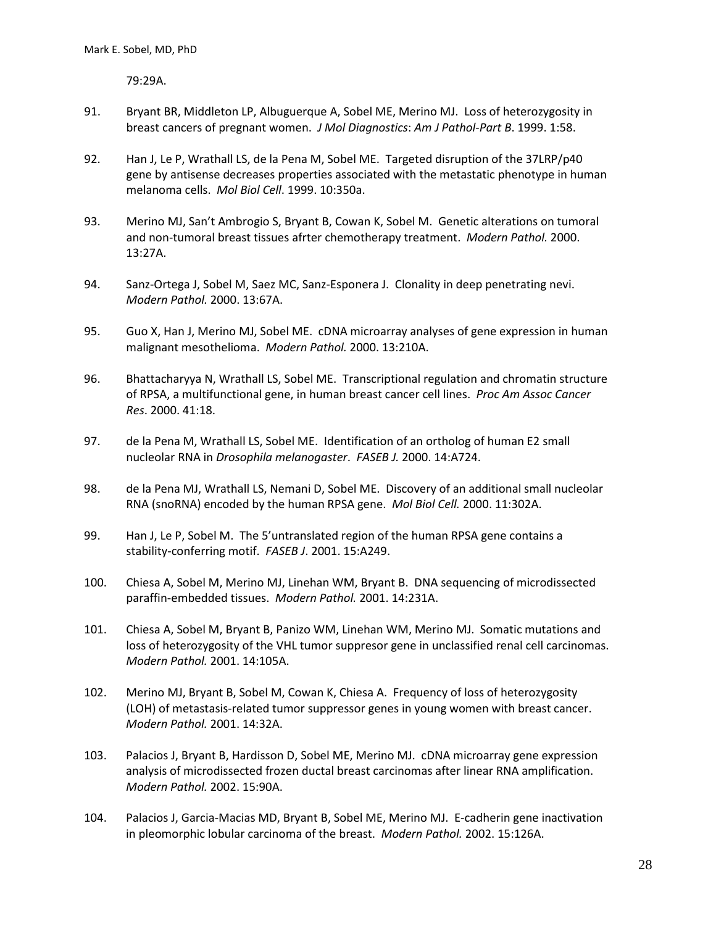79:29A.

- 91. Bryant BR, Middleton LP, Albuguerque A, Sobel ME, Merino MJ. Loss of heterozygosity in breast cancers of pregnant women. *J Mol Diagnostics*: *Am J Pathol*-*Part B*. 1999. 1:58.
- 92. Han J, Le P, Wrathall LS, de la Pena M, Sobel ME. Targeted disruption of the 37LRP/p40 gene by antisense decreases properties associated with the metastatic phenotype in human melanoma cells. *Mol Biol Cell*. 1999. 10:350a.
- 93. Merino MJ, San't Ambrogio S, Bryant B, Cowan K, Sobel M. Genetic alterations on tumoral and non-tumoral breast tissues afrter chemotherapy treatment. *Modern Pathol.* 2000. 13:27A.
- 94. Sanz-Ortega J, Sobel M, Saez MC, Sanz-Esponera J. Clonality in deep penetrating nevi. *Modern Pathol.* 2000. 13:67A.
- 95. Guo X, Han J, Merino MJ, Sobel ME. cDNA microarray analyses of gene expression in human malignant mesothelioma. *Modern Pathol.* 2000. 13:210A.
- 96. Bhattacharyya N, Wrathall LS, Sobel ME. Transcriptional regulation and chromatin structure of RPSA, a multifunctional gene, in human breast cancer cell lines. *Proc Am Assoc Cancer Res*. 2000. 41:18.
- 97. de la Pena M, Wrathall LS, Sobel ME. Identification of an ortholog of human E2 small nucleolar RNA in *Drosophila melanogaster*. *FASEB J.* 2000. 14:A724.
- 98. de la Pena MJ, Wrathall LS, Nemani D, Sobel ME. Discovery of an additional small nucleolar RNA (snoRNA) encoded by the human RPSA gene. *Mol Biol Cell.* 2000. 11:302A.
- 99. Han J, Le P, Sobel M. The 5'untranslated region of the human RPSA gene contains a stability-conferring motif. *FASEB J*. 2001. 15:A249.
- 100. Chiesa A, Sobel M, Merino MJ, Linehan WM, Bryant B. DNA sequencing of microdissected paraffin-embedded tissues. *Modern Pathol.* 2001. 14:231A.
- 101. Chiesa A, Sobel M, Bryant B, Panizo WM, Linehan WM, Merino MJ. Somatic mutations and loss of heterozygosity of the VHL tumor suppresor gene in unclassified renal cell carcinomas. *Modern Pathol.* 2001. 14:105A.
- 102. Merino MJ, Bryant B, Sobel M, Cowan K, Chiesa A. Frequency of loss of heterozygosity (LOH) of metastasis-related tumor suppressor genes in young women with breast cancer. *Modern Pathol.* 2001. 14:32A.
- 103. Palacios J, Bryant B, Hardisson D, Sobel ME, Merino MJ. cDNA microarray gene expression analysis of microdissected frozen ductal breast carcinomas after linear RNA amplification. *Modern Pathol.* 2002. 15:90A.
- 104. Palacios J, Garcia-Macias MD, Bryant B, Sobel ME, Merino MJ. E-cadherin gene inactivation in pleomorphic lobular carcinoma of the breast. *Modern Pathol.* 2002. 15:126A.